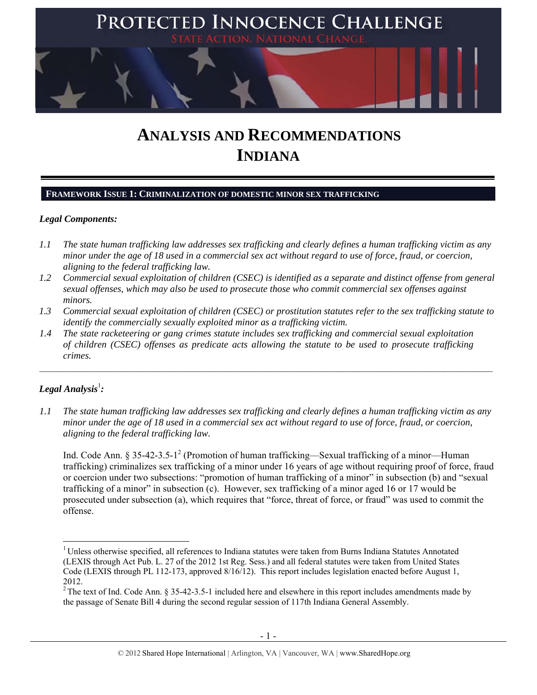

# **ANALYSIS AND RECOMMENDATIONS INDIANA**

## **FRAMEWORK ISSUE 1: CRIMINALIZATION OF DOMESTIC MINOR SEX TRAFFICKING**

#### *Legal Components:*

- *1.1 The state human trafficking law addresses sex trafficking and clearly defines a human trafficking victim as any minor under the age of 18 used in a commercial sex act without regard to use of force, fraud, or coercion, aligning to the federal trafficking law.*
- *1.2 Commercial sexual exploitation of children (CSEC) is identified as a separate and distinct offense from general sexual offenses, which may also be used to prosecute those who commit commercial sex offenses against minors.*
- *1.3 Commercial sexual exploitation of children (CSEC) or prostitution statutes refer to the sex trafficking statute to identify the commercially sexually exploited minor as a trafficking victim.*

 $\mathcal{L}_\mathcal{L} = \{ \mathcal{L}_\mathcal{L} = \{ \mathcal{L}_\mathcal{L} = \{ \mathcal{L}_\mathcal{L} = \{ \mathcal{L}_\mathcal{L} = \{ \mathcal{L}_\mathcal{L} = \{ \mathcal{L}_\mathcal{L} = \{ \mathcal{L}_\mathcal{L} = \{ \mathcal{L}_\mathcal{L} = \{ \mathcal{L}_\mathcal{L} = \{ \mathcal{L}_\mathcal{L} = \{ \mathcal{L}_\mathcal{L} = \{ \mathcal{L}_\mathcal{L} = \{ \mathcal{L}_\mathcal{L} = \{ \mathcal{L}_\mathcal{$ 

*1.4 The state racketeering or gang crimes statute includes sex trafficking and commercial sexual exploitation of children (CSEC) offenses as predicate acts allowing the statute to be used to prosecute trafficking crimes.* 

# ${\it Legal Analysis^!}$  :

*1.1 The state human trafficking law addresses sex trafficking and clearly defines a human trafficking victim as any minor under the age of 18 used in a commercial sex act without regard to use of force, fraud, or coercion, aligning to the federal trafficking law.*

Ind. Code Ann. § 35-42-3.5-1<sup>2</sup> (Promotion of human trafficking—Sexual trafficking of a minor—Human trafficking) criminalizes sex trafficking of a minor under 16 years of age without requiring proof of force, fraud or coercion under two subsections: "promotion of human trafficking of a minor" in subsection (b) and "sexual trafficking of a minor" in subsection (c). However, sex trafficking of a minor aged 16 or 17 would be prosecuted under subsection (a), which requires that "force, threat of force, or fraud" was used to commit the offense.

<sup>&</sup>lt;sup>1</sup> Unless otherwise specified, all references to Indiana statutes were taken from Burns Indiana Statutes Annotated (LEXIS through Act Pub. L. 27 of the 2012 1st Reg. Sess.) and all federal statutes were taken from United States Code (LEXIS through PL 112-173, approved 8/16/12). This report includes legislation enacted before August 1, 2012.

 $2$  The text of Ind. Code Ann. § 35-42-3.5-1 included here and elsewhere in this report includes amendments made by the passage of Senate Bill 4 during the second regular session of 117th Indiana General Assembly.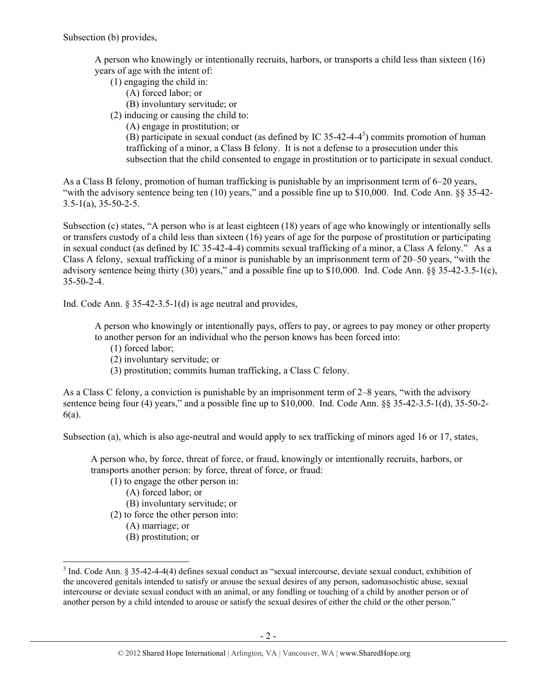A person who knowingly or intentionally recruits, harbors, or transports a child less than sixteen (16) years of age with the intent of:

- (1) engaging the child in:
	- (A) forced labor; or
	- (B) involuntary servitude; or
- (2) inducing or causing the child to:
	- (A) engage in prostitution; or

(B) participate in sexual conduct (as defined by IC 35-42-4-4<sup>3</sup>) commits promotion of human trafficking of a minor, a Class B felony. It is not a defense to a prosecution under this subsection that the child consented to engage in prostitution or to participate in sexual conduct.

As a Class B felony, promotion of human trafficking is punishable by an imprisonment term of 6–20 years, "with the advisory sentence being ten (10) years," and a possible fine up to \$10,000. Ind. Code Ann. §§ 35-42-  $3.5-1(a)$ ,  $35-50-2-5$ .

Subsection (c) states, "A person who is at least eighteen (18) years of age who knowingly or intentionally sells or transfers custody of a child less than sixteen (16) years of age for the purpose of prostitution or participating in sexual conduct (as defined by IC 35-42-4-4) commits sexual trafficking of a minor, a Class A felony." As a Class A felony, sexual trafficking of a minor is punishable by an imprisonment term of 20–50 years, "with the advisory sentence being thirty (30) years," and a possible fine up to \$10,000. Ind. Code Ann. §§ 35-42-3.5-1(c), 35-50-2-4.

Ind. Code Ann. § 35-42-3.5-1(d) is age neutral and provides,

A person who knowingly or intentionally pays, offers to pay, or agrees to pay money or other property to another person for an individual who the person knows has been forced into:

- (1) forced labor;
- (2) involuntary servitude; or
- (3) prostitution; commits human trafficking, a Class C felony.

As a Class C felony, a conviction is punishable by an imprisonment term of 2–8 years, "with the advisory sentence being four (4) years," and a possible fine up to \$10,000. Ind. Code Ann. §§ 35-42-3.5-1(d), 35-50-2-6(a).

Subsection (a), which is also age-neutral and would apply to sex trafficking of minors aged 16 or 17, states,

A person who, by force, threat of force, or fraud, knowingly or intentionally recruits, harbors, or transports another person: by force, threat of force, or fraud:

- (1) to engage the other person in:
	- (A) forced labor; or
	- (B) involuntary servitude; or
- (2) to force the other person into:
	- (A) marriage; or

(B) prostitution; or

 $3$  Ind. Code Ann. § 35-42-4-4(4) defines sexual conduct as "sexual intercourse, deviate sexual conduct, exhibition of the uncovered genitals intended to satisfy or arouse the sexual desires of any person, sadomasochistic abuse, sexual intercourse or deviate sexual conduct with an animal, or any fondling or touching of a child by another person or of another person by a child intended to arouse or satisfy the sexual desires of either the child or the other person."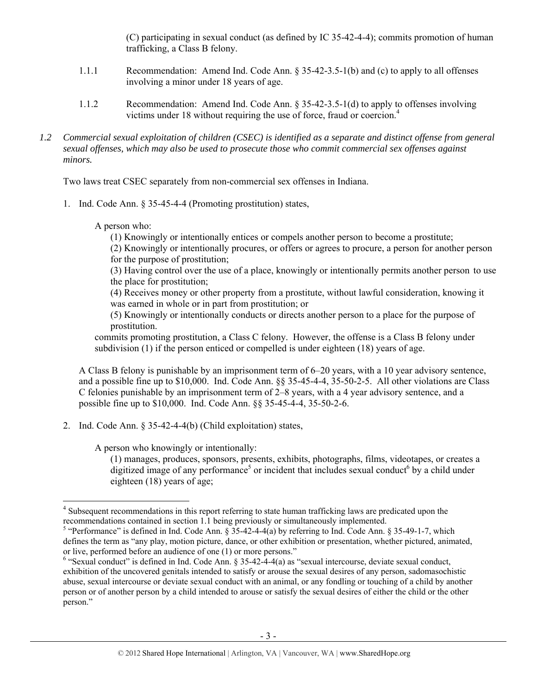(C) participating in sexual conduct (as defined by IC 35-42-4-4); commits promotion of human trafficking, a Class B felony.

- 1.1.1 Recommendation: Amend Ind. Code Ann. § 35-42-3.5-1(b) and (c) to apply to all offenses involving a minor under 18 years of age.
- 1.1.2 Recommendation: Amend Ind. Code Ann. § 35-42-3.5-1(d) to apply to offenses involving victims under 18 without requiring the use of force, fraud or coercion.4
- *1.2 Commercial sexual exploitation of children (CSEC) is identified as a separate and distinct offense from general sexual offenses, which may also be used to prosecute those who commit commercial sex offenses against minors.*

Two laws treat CSEC separately from non-commercial sex offenses in Indiana.

1. Ind. Code Ann. § 35-45-4-4 (Promoting prostitution) states,

A person who:

(1) Knowingly or intentionally entices or compels another person to become a prostitute;

(2) Knowingly or intentionally procures, or offers or agrees to procure, a person for another person for the purpose of prostitution;

(3) Having control over the use of a place, knowingly or intentionally permits another person to use the place for prostitution;

(4) Receives money or other property from a prostitute, without lawful consideration, knowing it was earned in whole or in part from prostitution; or

(5) Knowingly or intentionally conducts or directs another person to a place for the purpose of prostitution.

commits promoting prostitution, a Class C felony. However, the offense is a Class B felony under subdivision (1) if the person enticed or compelled is under eighteen (18) years of age.

A Class B felony is punishable by an imprisonment term of 6–20 years, with a 10 year advisory sentence, and a possible fine up to \$10,000. Ind. Code Ann. §§ 35-45-4-4, 35-50-2-5. All other violations are Class C felonies punishable by an imprisonment term of 2–8 years, with a 4 year advisory sentence, and a possible fine up to \$10,000. Ind. Code Ann. §§ 35-45-4-4, 35-50-2-6.

2. Ind. Code Ann. § 35-42-4-4(b) (Child exploitation) states,

A person who knowingly or intentionally:

(1) manages, produces, sponsors, presents, exhibits, photographs, films, videotapes, or creates a digitized image of any performance<sup>5</sup> or incident that includes sexual conduct<sup>6</sup> by a child under eighteen (18) years of age;

 <sup>4</sup> Subsequent recommendations in this report referring to state human trafficking laws are predicated upon the recommendations contained in section 1.1 being previously or simultaneously implemented.

<sup>&</sup>lt;sup>5</sup> "Performance" is defined in Ind. Code Ann. § 35-42-4-4(a) by referring to Ind. Code Ann. § 35-49-1-7, which defines the term as "any play, motion picture, dance, or other exhibition or presentation, whether pictured, animated, or live, performed before an audience of one (1) or more persons."

 $6$  "Sexual conduct" is defined in Ind. Code Ann. § 35-42-4-4(a) as "sexual intercourse, deviate sexual conduct, exhibition of the uncovered genitals intended to satisfy or arouse the sexual desires of any person, sadomasochistic abuse, sexual intercourse or deviate sexual conduct with an animal, or any fondling or touching of a child by another person or of another person by a child intended to arouse or satisfy the sexual desires of either the child or the other person."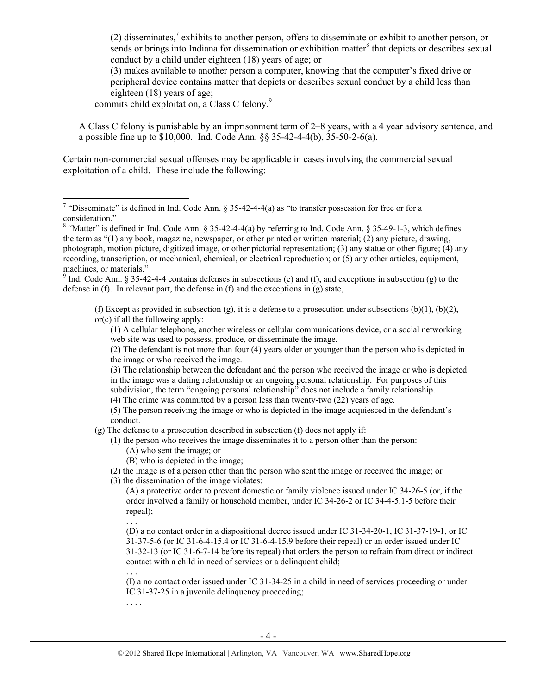(2) disseminates,<sup>7</sup> exhibits to another person, offers to disseminate or exhibit to another person, or sends or brings into Indiana for dissemination or exhibition matter<sup>8</sup> that depicts or describes sexual conduct by a child under eighteen (18) years of age; or

(3) makes available to another person a computer, knowing that the computer's fixed drive or peripheral device contains matter that depicts or describes sexual conduct by a child less than eighteen (18) years of age;

commits child exploitation, a Class C felony.<sup>9</sup>

A Class C felony is punishable by an imprisonment term of 2–8 years, with a 4 year advisory sentence, and a possible fine up to \$10,000. Ind. Code Ann. §§ 35-42-4-4(b), 35-50-2-6(a).

Certain non-commercial sexual offenses may be applicable in cases involving the commercial sexual exploitation of a child. These include the following:

<sup>9</sup> Ind. Code Ann. § 35-42-4-4 contains defenses in subsections (e) and (f), and exceptions in subsection (g) to the defense in (f). In relevant part, the defense in (f) and the exceptions in (g) state,

(f) Except as provided in subsection (g), it is a defense to a prosecution under subsections (b)(1), (b)(2), or(c) if all the following apply:

(1) A cellular telephone, another wireless or cellular communications device, or a social networking web site was used to possess, produce, or disseminate the image.

(2) The defendant is not more than four (4) years older or younger than the person who is depicted in the image or who received the image.

(3) The relationship between the defendant and the person who received the image or who is depicted in the image was a dating relationship or an ongoing personal relationship. For purposes of this subdivision, the term "ongoing personal relationship" does not include a family relationship.

(4) The crime was committed by a person less than twenty-two (22) years of age.

(5) The person receiving the image or who is depicted in the image acquiesced in the defendant's conduct.

(g) The defense to a prosecution described in subsection (f) does not apply if:

(1) the person who receives the image disseminates it to a person other than the person:

- (A) who sent the image; or
- (B) who is depicted in the image;

(2) the image is of a person other than the person who sent the image or received the image; or

(3) the dissemination of the image violates:

(A) a protective order to prevent domestic or family violence issued under IC 34-26-5 (or, if the order involved a family or household member, under IC 34-26-2 or IC 34-4-5.1-5 before their repeal);

. . .

(D) a no contact order in a dispositional decree issued under IC 31-34-20-1, IC 31-37-19-1, or IC 31-37-5-6 (or IC 31-6-4-15.4 or IC 31-6-4-15.9 before their repeal) or an order issued under IC 31-32-13 (or IC 31-6-7-14 before its repeal) that orders the person to refrain from direct or indirect contact with a child in need of services or a delinquent child; . . .

(I) a no contact order issued under IC 31-34-25 in a child in need of services proceeding or under IC 31-37-25 in a juvenile delinquency proceeding;

. . . .

T<br><sup>7</sup> "Disseminate" is defined in Ind. Code Ann. § 35-42-4-4(a) as "to transfer possession for free or for a consideration."

<sup>&</sup>lt;sup>8</sup> "Matter" is defined in Ind. Code Ann. § 35-42-4-4(a) by referring to Ind. Code Ann. § 35-49-1-3, which defines the term as "(1) any book, magazine, newspaper, or other printed or written material; (2) any picture, drawing, photograph, motion picture, digitized image, or other pictorial representation; (3) any statue or other figure; (4) any recording, transcription, or mechanical, chemical, or electrical reproduction; or (5) any other articles, equipment, machines, or materials."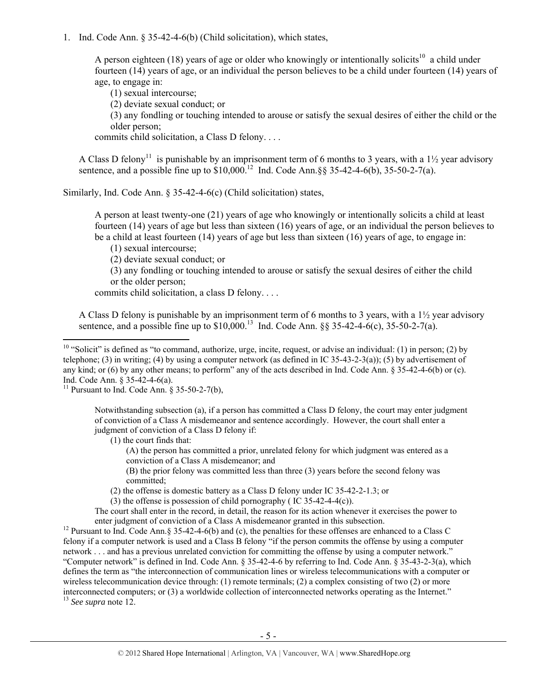1. Ind. Code Ann. § 35-42-4-6(b) (Child solicitation), which states,

A person eighteen (18) years of age or older who knowingly or intentionally solicits<sup>10</sup> a child under fourteen (14) years of age, or an individual the person believes to be a child under fourteen (14) years of age, to engage in:

(1) sexual intercourse;

(2) deviate sexual conduct; or

(3) any fondling or touching intended to arouse or satisfy the sexual desires of either the child or the older person;

commits child solicitation, a Class D felony. . . .

A Class D felony<sup>11</sup> is punishable by an imprisonment term of 6 months to 3 years, with a 1½ year advisory sentence, and a possible fine up to  $$10,000$ .<sup>12</sup> Ind. Code Ann. §§ 35-42-4-6(b), 35-50-2-7(a).

Similarly, Ind. Code Ann. § 35-42-4-6(c) (Child solicitation) states,

A person at least twenty-one (21) years of age who knowingly or intentionally solicits a child at least fourteen (14) years of age but less than sixteen (16) years of age, or an individual the person believes to be a child at least fourteen (14) years of age but less than sixteen (16) years of age, to engage in:

(1) sexual intercourse;

(2) deviate sexual conduct; or

(3) any fondling or touching intended to arouse or satisfy the sexual desires of either the child or the older person;

commits child solicitation, a class D felony. . . .

A Class D felony is punishable by an imprisonment term of 6 months to 3 years, with a 1½ year advisory sentence, and a possible fine up to  $$10,000$ .<sup>13</sup> Ind. Code Ann.  $88,35-42-4-6(c)$ ,  $35-50-2-7(a)$ .

<sup>11</sup> Pursuant to Ind. Code Ann.  $\S$  35-50-2-7(b),

Notwithstanding subsection (a), if a person has committed a Class D felony, the court may enter judgment of conviction of a Class A misdemeanor and sentence accordingly. However, the court shall enter a judgment of conviction of a Class D felony if:

(1) the court finds that:

(A) the person has committed a prior, unrelated felony for which judgment was entered as a conviction of a Class A misdemeanor; and

(B) the prior felony was committed less than three (3) years before the second felony was committed;

(2) the offense is domestic battery as a Class D felony under IC 35-42-2-1.3; or

(3) the offense is possession of child pornography ( IC 35-42-4-4(c)).

The court shall enter in the record, in detail, the reason for its action whenever it exercises the power to

enter judgment of conviction of a Class A misdemeanor granted in this subsection. 12 Pursuant to Ind. Code Ann.§ 35-42-4-6(b) and (c), the penalties for these offenses are enhanced to a Class C felony if a computer network is used and a Class B felony "if the person commits the offense by using a computer network . . . and has a previous unrelated conviction for committing the offense by using a computer network." "Computer network" is defined in Ind. Code Ann. § 35-42-4-6 by referring to Ind. Code Ann. § 35-43-2-3(a), which defines the term as "the interconnection of communication lines or wireless telecommunications with a computer or wireless telecommunication device through: (1) remote terminals; (2) a complex consisting of two (2) or more interconnected computers; or (3) a worldwide collection of interconnected networks operating as the Internet." 13 *See supra* note 12.

 $10$  "Solicit" is defined as "to command, authorize, urge, incite, request, or advise an individual: (1) in person; (2) by telephone; (3) in writing; (4) by using a computer network (as defined in IC 35-43-2-3(a)); (5) by advertisement of any kind; or (6) by any other means; to perform" any of the acts described in Ind. Code Ann. § 35-42-4-6(b) or (c). Ind. Code Ann. § 35-42-4-6(a).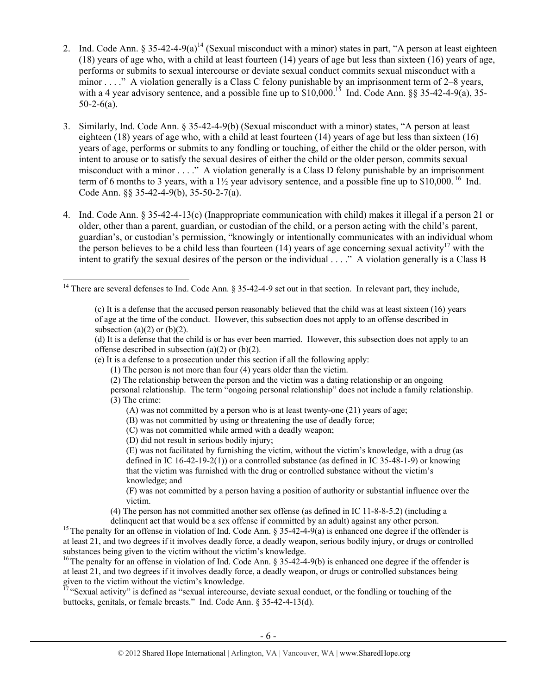- 2. Ind. Code Ann.  $\S 35-42-4-9(a)^{14}$  (Sexual misconduct with a minor) states in part, "A person at least eighteen (18) years of age who, with a child at least fourteen (14) years of age but less than sixteen (16) years of age, performs or submits to sexual intercourse or deviate sexual conduct commits sexual misconduct with a minor . . . ." A violation generally is a Class C felony punishable by an imprisonment term of 2–8 years, with a 4 year advisory sentence, and a possible fine up to  $$10,000$ .<sup>15</sup> Ind. Code Ann. §§ 35-42-4-9(a), 35- $50-2-6(a)$ .
- 3. Similarly, Ind. Code Ann. § 35-42-4-9(b) (Sexual misconduct with a minor) states, "A person at least eighteen (18) years of age who, with a child at least fourteen (14) years of age but less than sixteen (16) years of age, performs or submits to any fondling or touching, of either the child or the older person, with intent to arouse or to satisfy the sexual desires of either the child or the older person, commits sexual misconduct with a minor . . . ." A violation generally is a Class D felony punishable by an imprisonment term of 6 months to 3 years, with a  $1\frac{1}{2}$  year advisory sentence, and a possible fine up to \$10,000.<sup>16</sup> Ind. Code Ann. §§ 35-42-4-9(b), 35-50-2-7(a).
- 4. Ind. Code Ann. § 35-42-4-13(c) (Inappropriate communication with child) makes it illegal if a person 21 or older, other than a parent, guardian, or custodian of the child, or a person acting with the child's parent, guardian's, or custodian's permission, "knowingly or intentionally communicates with an individual whom the person believes to be a child less than fourteen (14) years of age concerning sexual activity<sup>17</sup> with the intent to gratify the sexual desires of the person or the individual . . . ." A violation generally is a Class B

(e) It is a defense to a prosecution under this section if all the following apply:

- (2) The relationship between the person and the victim was a dating relationship or an ongoing
- personal relationship. The term "ongoing personal relationship" does not include a family relationship. (3) The crime:
	- (A) was not committed by a person who is at least twenty-one (21) years of age;
	- (B) was not committed by using or threatening the use of deadly force;
	- (C) was not committed while armed with a deadly weapon;
	- (D) did not result in serious bodily injury;

(E) was not facilitated by furnishing the victim, without the victim's knowledge, with a drug (as defined in IC 16-42-19-2(1)) or a controlled substance (as defined in IC 35-48-1-9) or knowing that the victim was furnished with the drug or controlled substance without the victim's knowledge; and

(F) was not committed by a person having a position of authority or substantial influence over the victim.

(4) The person has not committed another sex offense (as defined in IC 11-8-8-5.2) (including a

 $17$  "Sexual activity" is defined as "sexual intercourse, deviate sexual conduct, or the fondling or touching of the buttocks, genitals, or female breasts." Ind. Code Ann. § 35-42-4-13(d).

<sup>&</sup>lt;sup>14</sup> There are several defenses to Ind. Code Ann. § 35-42-4-9 set out in that section. In relevant part, they include,

<sup>(</sup>c) It is a defense that the accused person reasonably believed that the child was at least sixteen (16) years of age at the time of the conduct. However, this subsection does not apply to an offense described in subsection (a) $(2)$  or (b) $(2)$ .

<sup>(</sup>d) It is a defense that the child is or has ever been married. However, this subsection does not apply to an offense described in subsection (a)(2) or (b)(2).

<sup>(1)</sup> The person is not more than four (4) years older than the victim.

delinquent act that would be a sex offense if committed by an adult) against any other person.<br><sup>15</sup> The penalty for an offense in violation of Ind. Code Ann. § 35-42-4-9(a) is enhanced one degree if the offender is at least 21, and two degrees if it involves deadly force, a deadly weapon, serious bodily injury, or drugs or controlled substances being given to the victim without the victim's knowledge.

<sup>&</sup>lt;sup>16</sup> The penalty for an offense in violation of Ind. Code Ann. § 35-42-4-9(b) is enhanced one degree if the offender is at least 21, and two degrees if it involves deadly force, a deadly weapon, or drugs or controlled substances being given to the victim without the victim's knowledge.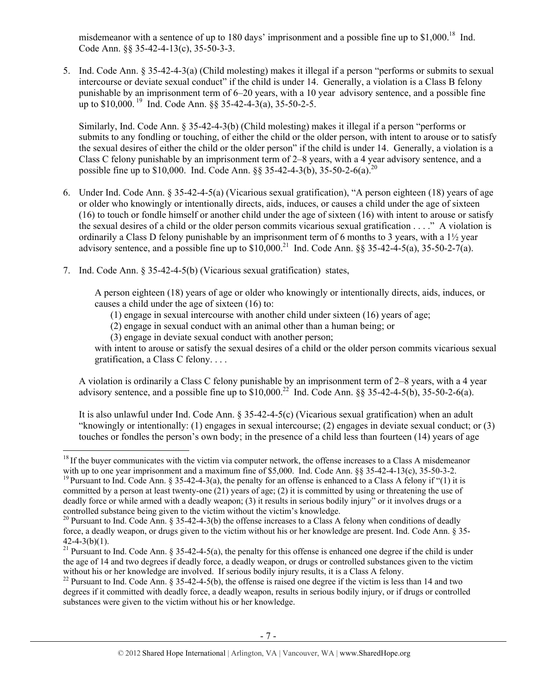misdemeanor with a sentence of up to 180 days' imprisonment and a possible fine up to  $$1,000$ <sup>18</sup> Ind. Code Ann. §§ 35-42-4-13(c), 35-50-3-3.

5. Ind. Code Ann. § 35-42-4-3(a) (Child molesting) makes it illegal if a person "performs or submits to sexual intercourse or deviate sexual conduct" if the child is under 14. Generally, a violation is a Class B felony punishable by an imprisonment term of 6–20 years, with a 10 year advisory sentence, and a possible fine up to  $$10,000$ . <sup>19</sup> Ind. Code Ann.  $88,35-42-4-3(a)$ ,  $35-50-2-5$ .

Similarly, Ind. Code Ann. § 35-42-4-3(b) (Child molesting) makes it illegal if a person "performs or submits to any fondling or touching, of either the child or the older person, with intent to arouse or to satisfy the sexual desires of either the child or the older person" if the child is under 14. Generally, a violation is a Class C felony punishable by an imprisonment term of 2–8 years, with a 4 year advisory sentence, and a possible fine up to \$10,000. Ind. Code Ann.  $88$  35-42-4-3(b), 35-50-2-6(a).<sup>20</sup>

- 6. Under Ind. Code Ann. § 35-42-4-5(a) (Vicarious sexual gratification), "A person eighteen (18) years of age or older who knowingly or intentionally directs, aids, induces, or causes a child under the age of sixteen (16) to touch or fondle himself or another child under the age of sixteen (16) with intent to arouse or satisfy the sexual desires of a child or the older person commits vicarious sexual gratification . . . ." A violation is ordinarily a Class D felony punishable by an imprisonment term of 6 months to 3 years, with a 1½ year advisory sentence, and a possible fine up to  $$10,000$ <sup>21</sup> Ind. Code Ann.  $88,35-42-4-5(a)$ ,  $35-50-2-7(a)$ .
- 7. Ind. Code Ann. § 35-42-4-5(b) (Vicarious sexual gratification) states,

A person eighteen (18) years of age or older who knowingly or intentionally directs, aids, induces, or causes a child under the age of sixteen (16) to:

- (1) engage in sexual intercourse with another child under sixteen (16) years of age;
- (2) engage in sexual conduct with an animal other than a human being; or
- (3) engage in deviate sexual conduct with another person;

with intent to arouse or satisfy the sexual desires of a child or the older person commits vicarious sexual gratification, a Class C felony. . . .

A violation is ordinarily a Class C felony punishable by an imprisonment term of 2–8 years, with a 4 year advisory sentence, and a possible fine up to  $$10,000.<sup>22</sup>$  Ind. Code Ann.  $88,35-42-4-5(b)$ ,  $35-50-2-6(a)$ .

It is also unlawful under Ind. Code Ann. § 35-42-4-5(c) (Vicarious sexual gratification) when an adult "knowingly or intentionally: (1) engages in sexual intercourse; (2) engages in deviate sexual conduct; or (3) touches or fondles the person's own body; in the presence of a child less than fourteen (14) years of age

 $18$  If the buyer communicates with the victim via computer network, the offense increases to a Class A misdemeanor with up to one year imprisonment and a maximum fine of \$5,000. Ind. Code Ann. §§ 35-42-4-13(c), 35-50-3-2.

<sup>&</sup>lt;sup>19</sup> Pursuant to Ind. Code Ann. § 35-42-4-3(a), the penalty for an offense is enhanced to a Class A felony if "(1) it is committed by a person at least twenty-one (21) years of age; (2) it is committed by using or threatening the use of deadly force or while armed with a deadly weapon; (3) it results in serious bodily injury" or it involves drugs or a controlled substance being given to the victim without the victim's knowledge.

<sup>&</sup>lt;sup>20</sup> Pursuant to Ind. Code Ann. § 35-42-4-3(b) the offense increases to a Class A felony when conditions of deadly force, a deadly weapon, or drugs given to the victim without his or her knowledge are present. Ind. Code Ann. § 35-  $42-4-3(b)(1)$ .

<sup>&</sup>lt;sup>21</sup> Pursuant to Ind. Code Ann. § 35-42-4-5(a), the penalty for this offense is enhanced one degree if the child is under the age of 14 and two degrees if deadly force, a deadly weapon, or drugs or controlled substances given to the victim without his or her knowledge are involved. If serious bodily injury results, it is a Class A felony.

<sup>&</sup>lt;sup>22</sup> Pursuant to Ind. Code Ann. § 35-42-4-5(b), the offense is raised one degree if the victim is less than 14 and two degrees if it committed with deadly force, a deadly weapon, results in serious bodily injury, or if drugs or controlled substances were given to the victim without his or her knowledge.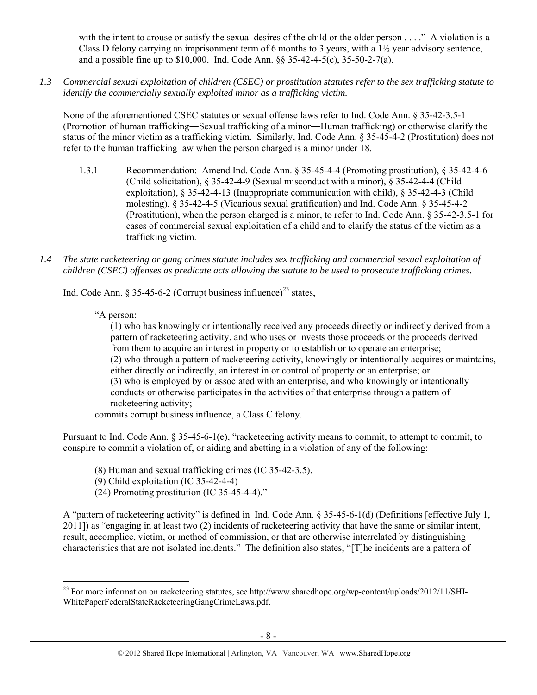with the intent to arouse or satisfy the sexual desires of the child or the older person . . . ." A violation is a Class D felony carrying an imprisonment term of 6 months to 3 years, with a  $1\frac{1}{2}$  year advisory sentence, and a possible fine up to \$10,000. Ind. Code Ann. §§ 35-42-4-5(c), 35-50-2-7(a).

*1.3 Commercial sexual exploitation of children (CSEC) or prostitution statutes refer to the sex trafficking statute to identify the commercially sexually exploited minor as a trafficking victim.* 

None of the aforementioned CSEC statutes or sexual offense laws refer to Ind. Code Ann. § 35-42-3.5-1 (Promotion of human trafficking―Sexual trafficking of a minor―Human trafficking) or otherwise clarify the status of the minor victim as a trafficking victim. Similarly, Ind. Code Ann. § 35-45-4-2 (Prostitution) does not refer to the human trafficking law when the person charged is a minor under 18.

- 1.3.1 Recommendation: Amend Ind. Code Ann. § 35-45-4-4 (Promoting prostitution), § 35-42-4-6 (Child solicitation), § 35-42-4-9 (Sexual misconduct with a minor), § 35-42-4-4 (Child exploitation), § 35-42-4-13 (Inappropriate communication with child), § 35-42-4-3 (Child molesting), § 35-42-4-5 (Vicarious sexual gratification) and Ind. Code Ann. § 35-45-4-2 (Prostitution), when the person charged is a minor, to refer to Ind. Code Ann. § 35-42-3.5-1 for cases of commercial sexual exploitation of a child and to clarify the status of the victim as a trafficking victim.
- *1.4 The state racketeering or gang crimes statute includes sex trafficking and commercial sexual exploitation of children (CSEC) offenses as predicate acts allowing the statute to be used to prosecute trafficking crimes.*

Ind. Code Ann. § 35-45-6-2 (Corrupt business influence)<sup>23</sup> states.

"A person:

(1) who has knowingly or intentionally received any proceeds directly or indirectly derived from a pattern of racketeering activity, and who uses or invests those proceeds or the proceeds derived from them to acquire an interest in property or to establish or to operate an enterprise; (2) who through a pattern of racketeering activity, knowingly or intentionally acquires or maintains, either directly or indirectly, an interest in or control of property or an enterprise; or (3) who is employed by or associated with an enterprise, and who knowingly or intentionally conducts or otherwise participates in the activities of that enterprise through a pattern of racketeering activity;

commits corrupt business influence, a Class C felony.

Pursuant to Ind. Code Ann. § 35-45-6-1(e), "racketeering activity means to commit, to attempt to commit, to conspire to commit a violation of, or aiding and abetting in a violation of any of the following:

- (8) Human and sexual trafficking crimes (IC 35-42-3.5).
- (9) Child exploitation (IC 35-42-4-4)

(24) Promoting prostitution (IC 35-45-4-4)."

A "pattern of racketeering activity" is defined in Ind. Code Ann. § 35-45-6-1(d) (Definitions [effective July 1, 2011]) as "engaging in at least two (2) incidents of racketeering activity that have the same or similar intent, result, accomplice, victim, or method of commission, or that are otherwise interrelated by distinguishing characteristics that are not isolated incidents." The definition also states, "[T]he incidents are a pattern of

<sup>&</sup>lt;sup>23</sup> For more information on racketeering statutes, see http://www.sharedhope.org/wp-content/uploads/2012/11/SHI-WhitePaperFederalStateRacketeeringGangCrimeLaws.pdf.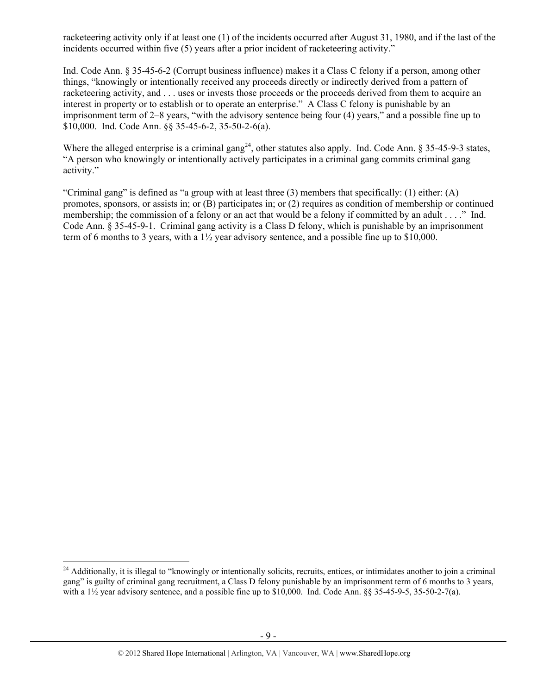racketeering activity only if at least one (1) of the incidents occurred after August 31, 1980, and if the last of the incidents occurred within five (5) years after a prior incident of racketeering activity."

Ind. Code Ann. § 35-45-6-2 (Corrupt business influence) makes it a Class C felony if a person, among other things, "knowingly or intentionally received any proceeds directly or indirectly derived from a pattern of racketeering activity, and . . . uses or invests those proceeds or the proceeds derived from them to acquire an interest in property or to establish or to operate an enterprise." A Class C felony is punishable by an imprisonment term of 2–8 years, "with the advisory sentence being four (4) years," and a possible fine up to \$10,000. Ind. Code Ann. §§ 35-45-6-2, 35-50-2-6(a).

Where the alleged enterprise is a criminal gang<sup>24</sup>, other statutes also apply. Ind. Code Ann. § 35-45-9-3 states, "A person who knowingly or intentionally actively participates in a criminal gang commits criminal gang activity."

"Criminal gang" is defined as "a group with at least three (3) members that specifically: (1) either: (A) promotes, sponsors, or assists in; or (B) participates in; or (2) requires as condition of membership or continued membership; the commission of a felony or an act that would be a felony if committed by an adult . . . ." Ind. Code Ann. § 35-45-9-1. Criminal gang activity is a Class D felony, which is punishable by an imprisonment term of 6 months to 3 years, with a 1½ year advisory sentence, and a possible fine up to \$10,000.

<sup>&</sup>lt;sup>24</sup> Additionally, it is illegal to "knowingly or intentionally solicits, recruits, entices, or intimidates another to join a criminal gang" is guilty of criminal gang recruitment, a Class D felony punishable by an imprisonment term of 6 months to 3 years, with a  $1\frac{1}{2}$  year advisory sentence, and a possible fine up to \$10,000. Ind. Code Ann. §§ 35-45-9-5, 35-50-2-7(a).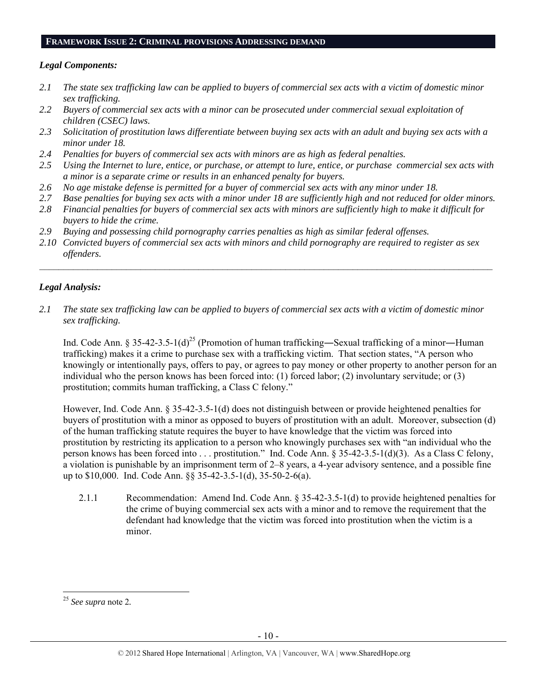#### **FRAMEWORK ISSUE 2: CRIMINAL PROVISIONS ADDRESSING DEMAND**

## *Legal Components:*

- *2.1 The state sex trafficking law can be applied to buyers of commercial sex acts with a victim of domestic minor sex trafficking.*
- *2.2 Buyers of commercial sex acts with a minor can be prosecuted under commercial sexual exploitation of children (CSEC) laws.*
- *2.3 Solicitation of prostitution laws differentiate between buying sex acts with an adult and buying sex acts with a minor under 18.*
- *2.4 Penalties for buyers of commercial sex acts with minors are as high as federal penalties.*
- *2.5 Using the Internet to lure, entice, or purchase, or attempt to lure, entice, or purchase commercial sex acts with a minor is a separate crime or results in an enhanced penalty for buyers.*
- *2.6 No age mistake defense is permitted for a buyer of commercial sex acts with any minor under 18.*
- *2.7 Base penalties for buying sex acts with a minor under 18 are sufficiently high and not reduced for older minors.*
- *2.8 Financial penalties for buyers of commercial sex acts with minors are sufficiently high to make it difficult for buyers to hide the crime.*
- *2.9 Buying and possessing child pornography carries penalties as high as similar federal offenses.*
- *2.10 Convicted buyers of commercial sex acts with minors and child pornography are required to register as sex offenders.*

 $\mathcal{L}_\mathcal{L} = \{ \mathcal{L}_\mathcal{L} = \{ \mathcal{L}_\mathcal{L} = \{ \mathcal{L}_\mathcal{L} = \{ \mathcal{L}_\mathcal{L} = \{ \mathcal{L}_\mathcal{L} = \{ \mathcal{L}_\mathcal{L} = \{ \mathcal{L}_\mathcal{L} = \{ \mathcal{L}_\mathcal{L} = \{ \mathcal{L}_\mathcal{L} = \{ \mathcal{L}_\mathcal{L} = \{ \mathcal{L}_\mathcal{L} = \{ \mathcal{L}_\mathcal{L} = \{ \mathcal{L}_\mathcal{L} = \{ \mathcal{L}_\mathcal{$ 

## *Legal Analysis:*

*2.1 The state sex trafficking law can be applied to buyers of commercial sex acts with a victim of domestic minor sex trafficking.* 

Ind. Code Ann. § 35-42-3.5-1(d)<sup>25</sup> (Promotion of human trafficking—Sexual trafficking of a minor—Human trafficking) makes it a crime to purchase sex with a trafficking victim. That section states, "A person who knowingly or intentionally pays, offers to pay, or agrees to pay money or other property to another person for an individual who the person knows has been forced into: (1) forced labor; (2) involuntary servitude; or (3) prostitution; commits human trafficking, a Class C felony."

However, Ind. Code Ann. § 35-42-3.5-1(d) does not distinguish between or provide heightened penalties for buyers of prostitution with a minor as opposed to buyers of prostitution with an adult. Moreover, subsection (d) of the human trafficking statute requires the buyer to have knowledge that the victim was forced into prostitution by restricting its application to a person who knowingly purchases sex with "an individual who the person knows has been forced into . . . prostitution." Ind. Code Ann. § 35-42-3.5-1(d)(3). As a Class C felony, a violation is punishable by an imprisonment term of 2–8 years, a 4-year advisory sentence, and a possible fine up to \$10,000. Ind. Code Ann. §§ 35-42-3.5-1(d), 35-50-2-6(a).

2.1.1 Recommendation: Amend Ind. Code Ann. § 35-42-3.5-1(d) to provide heightened penalties for the crime of buying commercial sex acts with a minor and to remove the requirement that the defendant had knowledge that the victim was forced into prostitution when the victim is a minor.

 <sup>25</sup> *See supra* note 2*.*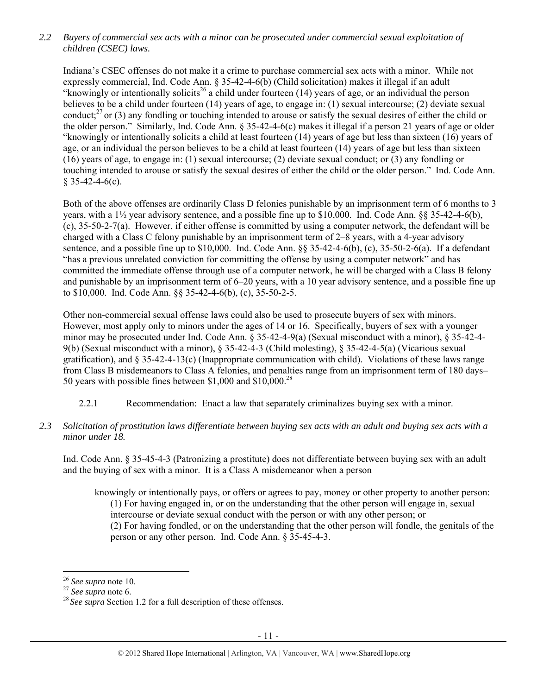*2.2 Buyers of commercial sex acts with a minor can be prosecuted under commercial sexual exploitation of children (CSEC) laws.* 

Indiana's CSEC offenses do not make it a crime to purchase commercial sex acts with a minor. While not expressly commercial, Ind. Code Ann. § 35-42-4-6(b) (Child solicitation) makes it illegal if an adult "knowingly or intentionally solicits<sup>26</sup> a child under fourteen (14) years of age, or an individual the person believes to be a child under fourteen (14) years of age, to engage in: (1) sexual intercourse; (2) deviate sexual conduct;<sup>27</sup> or (3) any fondling or touching intended to arouse or satisfy the sexual desires of either the child or the older person." Similarly, Ind. Code Ann. § 35-42-4-6(c) makes it illegal if a person 21 years of age or older "knowingly or intentionally solicits a child at least fourteen (14) years of age but less than sixteen (16) years of age, or an individual the person believes to be a child at least fourteen (14) years of age but less than sixteen (16) years of age, to engage in: (1) sexual intercourse; (2) deviate sexual conduct; or (3) any fondling or touching intended to arouse or satisfy the sexual desires of either the child or the older person." Ind. Code Ann.  $§$  35-42-4-6(c).

Both of the above offenses are ordinarily Class D felonies punishable by an imprisonment term of 6 months to 3 years, with a 1½ year advisory sentence, and a possible fine up to \$10,000. Ind. Code Ann. §§ 35-42-4-6(b), (c), 35-50-2-7(a). However, if either offense is committed by using a computer network, the defendant will be charged with a Class C felony punishable by an imprisonment term of 2–8 years, with a 4-year advisory sentence, and a possible fine up to \$10,000. Ind. Code Ann. §§ 35-42-4-6(b), (c), 35-50-2-6(a). If a defendant "has a previous unrelated conviction for committing the offense by using a computer network" and has committed the immediate offense through use of a computer network, he will be charged with a Class B felony and punishable by an imprisonment term of 6–20 years, with a 10 year advisory sentence, and a possible fine up to \$10,000. Ind. Code Ann. §§ 35-42-4-6(b), (c), 35-50-2-5.

Other non-commercial sexual offense laws could also be used to prosecute buyers of sex with minors. However, most apply only to minors under the ages of 14 or 16. Specifically, buyers of sex with a younger minor may be prosecuted under Ind. Code Ann. § 35-42-4-9(a) (Sexual misconduct with a minor), § 35-42-4- 9(b) (Sexual misconduct with a minor), § 35-42-4-3 (Child molesting), § 35-42-4-5(a) (Vicarious sexual gratification), and  $\S 35-42-4-13(c)$  (Inappropriate communication with child). Violations of these laws range from Class B misdemeanors to Class A felonies, and penalties range from an imprisonment term of 180 days– 50 years with possible fines between  $$1,000$  and  $$10,000$ <sup>28</sup>

- 2.2.1 Recommendation: Enact a law that separately criminalizes buying sex with a minor.
- *2.3 Solicitation of prostitution laws differentiate between buying sex acts with an adult and buying sex acts with a minor under 18.*

Ind. Code Ann. § 35-45-4-3 (Patronizing a prostitute) does not differentiate between buying sex with an adult and the buying of sex with a minor. It is a Class A misdemeanor when a person

knowingly or intentionally pays, or offers or agrees to pay, money or other property to another person: (1) For having engaged in, or on the understanding that the other person will engage in, sexual intercourse or deviate sexual conduct with the person or with any other person; or (2) For having fondled, or on the understanding that the other person will fondle, the genitals of the person or any other person. Ind. Code Ann. § 35-45-4-3.

<sup>&</sup>lt;sup>26</sup> *See supra* note 10.<br><sup>27</sup> *See supra* note 6.<br><sup>28</sup> *See supra* Section 1.2 for a full description of these offenses.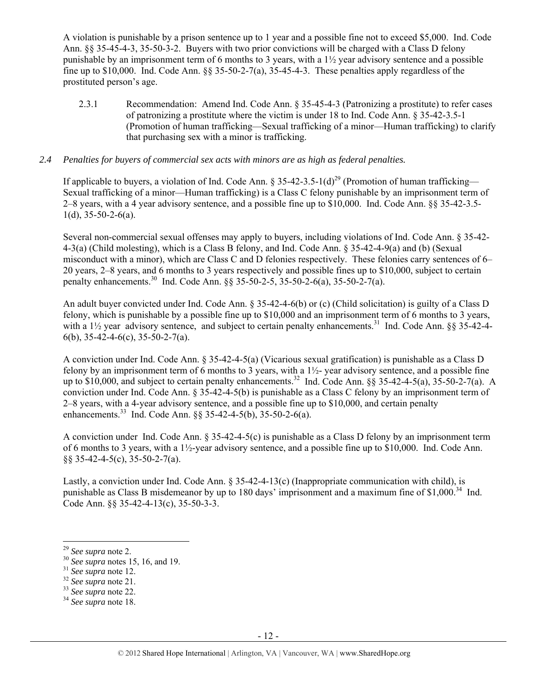A violation is punishable by a prison sentence up to 1 year and a possible fine not to exceed \$5,000. Ind. Code Ann. §§ 35-45-4-3, 35-50-3-2. Buyers with two prior convictions will be charged with a Class D felony punishable by an imprisonment term of 6 months to 3 years, with a  $1\frac{1}{2}$  year advisory sentence and a possible fine up to \$10,000. Ind. Code Ann.  $\S$  35-50-2-7(a), 35-45-4-3. These penalties apply regardless of the prostituted person's age.

2.3.1 Recommendation: Amend Ind. Code Ann. § 35-45-4-3 (Patronizing a prostitute) to refer cases of patronizing a prostitute where the victim is under 18 to Ind. Code Ann. § 35-42-3.5-1 (Promotion of human trafficking—Sexual trafficking of a minor—Human trafficking) to clarify that purchasing sex with a minor is trafficking.

## *2.4 Penalties for buyers of commercial sex acts with minors are as high as federal penalties.*

If applicable to buyers, a violation of Ind. Code Ann. § 35-42-3.5-1(d)<sup>29</sup> (Promotion of human trafficking— Sexual trafficking of a minor—Human trafficking) is a Class C felony punishable by an imprisonment term of 2–8 years, with a 4 year advisory sentence, and a possible fine up to \$10,000. Ind. Code Ann. §§ 35-42-3.5-  $1(d)$ , 35-50-2-6(a).

Several non-commercial sexual offenses may apply to buyers, including violations of Ind. Code Ann. § 35-42- 4-3(a) (Child molesting), which is a Class B felony, and Ind. Code Ann. § 35-42-4-9(a) and (b) (Sexual misconduct with a minor), which are Class C and D felonies respectively. These felonies carry sentences of 6– 20 years, 2–8 years, and 6 months to 3 years respectively and possible fines up to \$10,000, subject to certain penalty enhancements.<sup>30</sup> Ind. Code Ann.  $\S$  35-50-2-5, 35-50-2-6(a), 35-50-2-7(a).

An adult buyer convicted under Ind. Code Ann. § 35-42-4-6(b) or (c) (Child solicitation) is guilty of a Class D felony, which is punishable by a possible fine up to \$10,000 and an imprisonment term of 6 months to 3 years, with a 1<sup>1</sup>/<sub>2</sub> year advisory sentence, and subject to certain penalty enhancements.<sup>31</sup> Ind. Code Ann. §§ 35-42-4-6(b),  $35-42-4-6(c)$ ,  $35-50-2-7(a)$ .

A conviction under Ind. Code Ann. § 35-42-4-5(a) (Vicarious sexual gratification) is punishable as a Class D felony by an imprisonment term of 6 months to 3 years, with a 1½- year advisory sentence, and a possible fine up to  $$10,000$ , and subject to certain penalty enhancements.<sup>32</sup> Ind. Code Ann.  $\S$ § 35-42-4-5(a), 35-50-2-7(a). A conviction under Ind. Code Ann. § 35-42-4-5(b) is punishable as a Class C felony by an imprisonment term of 2–8 years, with a 4-year advisory sentence, and a possible fine up to \$10,000, and certain penalty enhancements.<sup>33</sup> Ind. Code Ann.  $\S$ § 35-42-4-5(b), 35-50-2-6(a).

A conviction under Ind. Code Ann. § 35-42-4-5(c) is punishable as a Class D felony by an imprisonment term of 6 months to 3 years, with a  $1\frac{1}{2}$ -year advisory sentence, and a possible fine up to \$10,000. Ind. Code Ann. §§ 35-42-4-5(c), 35-50-2-7(a).

Lastly, a conviction under Ind. Code Ann. § 35-42-4-13(c) (Inappropriate communication with child), is punishable as Class B misdemeanor by up to 180 days' imprisonment and a maximum fine of \$1,000.<sup>34</sup> Ind. Code Ann. §§ 35-42-4-13(c), 35-50-3-3.

<sup>29</sup> *See supra* note 2. 30 *See supra* notes 15, 16, and 19. 31 *See supra* note 12. 32 *See supra* note 21. 33 *See supra* note 22. 34 *See supra* note 18.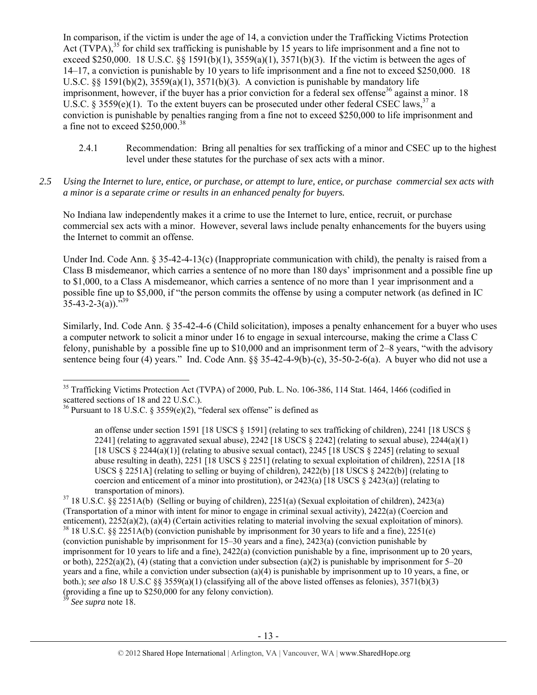In comparison, if the victim is under the age of 14, a conviction under the Trafficking Victims Protection Act (TVPA),<sup>35</sup> for child sex trafficking is punishable by 15 years to life imprisonment and a fine not to exceed \$250,000. 18 U.S.C.  $\frac{8}{1591(b)(1)}$ ,  $\frac{3559(a)(1)}{3571(b)(3)}$ . If the victim is between the ages of 14–17, a conviction is punishable by 10 years to life imprisonment and a fine not to exceed \$250,000. 18 U.S.C.  $\S$ § 1591(b)(2), 3559(a)(1), 3571(b)(3). A conviction is punishable by mandatory life imprisonment, however, if the buyer has a prior conviction for a federal sex offense<sup>36</sup> against a minor. 18 U.S.C. § 3559(e)(1). To the extent buyers can be prosecuted under other federal CSEC laws,  $3^7$  a conviction is punishable by penalties ranging from a fine not to exceed \$250,000 to life imprisonment and a fine not to exceed \$250,000.38

- 2.4.1 Recommendation: Bring all penalties for sex trafficking of a minor and CSEC up to the highest level under these statutes for the purchase of sex acts with a minor.
- *2.5 Using the Internet to lure, entice, or purchase, or attempt to lure, entice, or purchase commercial sex acts with a minor is a separate crime or results in an enhanced penalty for buyers.*

No Indiana law independently makes it a crime to use the Internet to lure, entice, recruit, or purchase commercial sex acts with a minor. However, several laws include penalty enhancements for the buyers using the Internet to commit an offense.

Under Ind. Code Ann.  $\S 35-42-4-13(c)$  (Inappropriate communication with child), the penalty is raised from a Class B misdemeanor, which carries a sentence of no more than 180 days' imprisonment and a possible fine up to \$1,000, to a Class A misdemeanor, which carries a sentence of no more than 1 year imprisonment and a possible fine up to \$5,000, if "the person commits the offense by using a computer network (as defined in IC  $35-43-2-3(a)$ .<sup>539</sup>

Similarly, Ind. Code Ann. § 35-42-4-6 (Child solicitation), imposes a penalty enhancement for a buyer who uses a computer network to solicit a minor under 16 to engage in sexual intercourse, making the crime a Class C felony, punishable by a possible fine up to \$10,000 and an imprisonment term of 2–8 years, "with the advisory sentence being four (4) years." Ind. Code Ann. §§ 35-42-4-9(b)-(c), 35-50-2-6(a). A buyer who did not use a

See supra note 18.

 <sup>35</sup> Trafficking Victims Protection Act (TVPA) of 2000, Pub. L. No. 106-386, 114 Stat. 1464, 1466 (codified in scattered sections of 18 and 22 U.S.C.).

<sup>&</sup>lt;sup>36</sup> Pursuant to 18 U.S.C. § 3559(e)(2), "federal sex offense" is defined as

an offense under section 1591 [18 USCS § 1591] (relating to sex trafficking of children), 2241 [18 USCS § 2241] (relating to aggravated sexual abuse), 2242 [18 USCS  $\S$  2242] (relating to sexual abuse), 2244(a)(1) [18 USCS  $\S$  2244(a)(1)] (relating to abusive sexual contact), 2245 [18 USCS  $\S$  2245] (relating to sexual abuse resulting in death), 2251 [18 USCS § 2251] (relating to sexual exploitation of children), 2251A [18 USCS  $\S$  2251A] (relating to selling or buying of children), 2422(b) [18 USCS  $\S$  2422(b)] (relating to coercion and enticement of a minor into prostitution), or  $2423(a)$  [18 USCS  $\S$  2423(a)] (relating to transportation of minors).<br><sup>37</sup> 18 U.S.C. §§ 2251A(b) (Selling or buying of children), 2251(a) (Sexual exploitation of children), 2423(a)

<sup>(</sup>Transportation of a minor with intent for minor to engage in criminal sexual activity), 2422(a) (Coercion and enticement),  $2252(a)(2)$ ,  $(a)(4)$  (Certain activities relating to material involving the sexual exploitation of minors). <sup>38</sup> 18 U.S.C. §§ 2251A(b) (conviction punishable by imprisonment for 30 years to life and a fine), 22 (conviction punishable by imprisonment for 15–30 years and a fine), 2423(a) (conviction punishable by imprisonment for 10 years to life and a fine), 2422(a) (conviction punishable by a fine, imprisonment up to 20 years, or both),  $2252(a)(2)$ , (4) (stating that a conviction under subsection (a)(2) is punishable by imprisonment for 5–20 years and a fine, while a conviction under subsection (a)(4) is punishable by imprisonment up to 10 years, a fine, or both.); *see also* 18 U.S.C §§ 3559(a)(1) (classifying all of the above listed offenses as felonies), 3571(b)(3) (providing a fine up to \$250,000 for any felony conviction).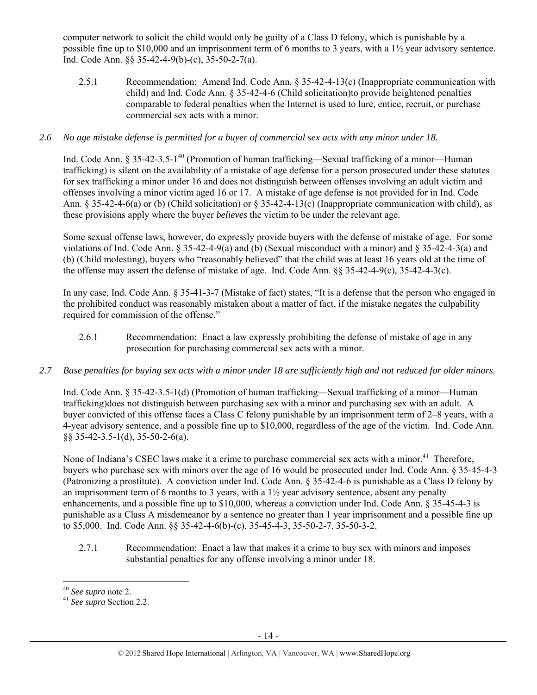computer network to solicit the child would only be guilty of a Class D felony, which is punishable by a possible fine up to \$10,000 and an imprisonment term of 6 months to 3 years, with a 1½ year advisory sentence. Ind. Code Ann. §§ 35-42-4-9(b)-(c), 35-50-2-7(a).

2.5.1 Recommendation: Amend Ind. Code Ann. § 35-42-4-13(c) (Inappropriate communication with child) and Ind. Code Ann. § 35-42-4-6 (Child solicitation)to provide heightened penalties comparable to federal penalties when the Internet is used to lure, entice, recruit, or purchase commercial sex acts with a minor.

## *2.6 No age mistake defense is permitted for a buyer of commercial sex acts with any minor under 18.*

Ind. Code Ann. § 35-42-3.5-1<sup>40</sup> (Promotion of human trafficking—Sexual trafficking of a minor—Human trafficking) is silent on the availability of a mistake of age defense for a person prosecuted under these statutes for sex trafficking a minor under 16 and does not distinguish between offenses involving an adult victim and offenses involving a minor victim aged 16 or 17. A mistake of age defense is not provided for in Ind. Code Ann. § 35-42-4-6(a) or (b) (Child solicitation) or § 35-42-4-13(c) (Inappropriate communication with child), as these provisions apply where the buyer *believes* the victim to be under the relevant age.

Some sexual offense laws, however, do expressly provide buyers with the defense of mistake of age. For some violations of Ind. Code Ann. § 35-42-4-9(a) and (b) (Sexual misconduct with a minor) and § 35-42-4-3(a) and (b) (Child molesting), buyers who "reasonably believed" that the child was at least 16 years old at the time of the offense may assert the defense of mistake of age. Ind. Code Ann. §§ 35-42-4-9(c), 35-42-4-3(c).

In any case, Ind. Code Ann. § 35-41-3-7 (Mistake of fact) states, "It is a defense that the person who engaged in the prohibited conduct was reasonably mistaken about a matter of fact, if the mistake negates the culpability required for commission of the offense."

- 2.6.1 Recommendation: Enact a law expressly prohibiting the defense of mistake of age in any prosecution for purchasing commercial sex acts with a minor.
- *2.7 Base penalties for buying sex acts with a minor under 18 are sufficiently high and not reduced for older minors.*

Ind. Code Ann. § 35-42-3.5-1(d) (Promotion of human trafficking—Sexual trafficking of a minor—Human trafficking)does not distinguish between purchasing sex with a minor and purchasing sex with an adult. A buyer convicted of this offense faces a Class C felony punishable by an imprisonment term of 2–8 years, with a 4-year advisory sentence, and a possible fine up to \$10,000, regardless of the age of the victim. Ind. Code Ann. §§ 35-42-3.5-1(d), 35-50-2-6(a).

None of Indiana's CSEC laws make it a crime to purchase commercial sex acts with a minor.<sup>41</sup> Therefore, buyers who purchase sex with minors over the age of 16 would be prosecuted under Ind. Code Ann. § 35-45-4-3 (Patronizing a prostitute). A conviction under Ind. Code Ann. § 35-42-4-6 is punishable as a Class D felony by an imprisonment term of 6 months to 3 years, with a 1½ year advisory sentence, absent any penalty enhancements, and a possible fine up to \$10,000, whereas a conviction under Ind. Code Ann. § 35-45-4-3 is punishable as a Class A misdemeanor by a sentence no greater than 1 year imprisonment and a possible fine up to \$5,000. Ind. Code Ann. §§ 35-42-4-6(b)-(c), 35-45-4-3, 35-50-2-7, 35-50-3-2.

2.7.1 Recommendation: Enact a law that makes it a crime to buy sex with minors and imposes substantial penalties for any offense involving a minor under 18.

<sup>40</sup> *See supra* note 2. 41 *See supra* Section 2.2.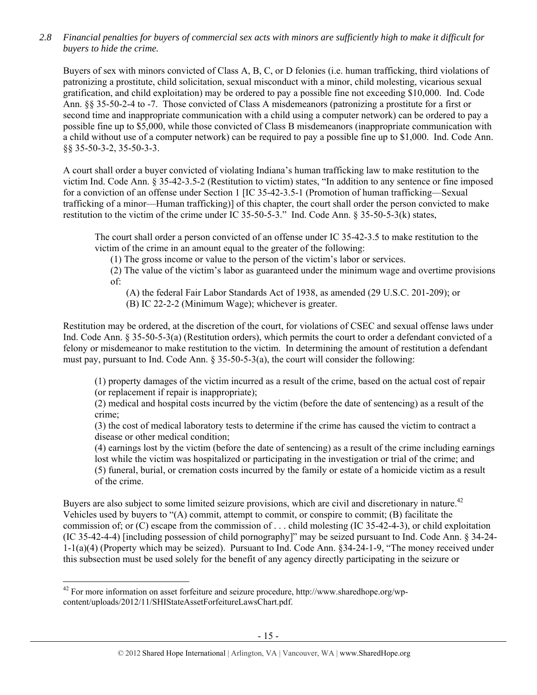*2.8 Financial penalties for buyers of commercial sex acts with minors are sufficiently high to make it difficult for buyers to hide the crime.* 

Buyers of sex with minors convicted of Class A, B, C, or D felonies (i.e. human trafficking, third violations of patronizing a prostitute, child solicitation, sexual misconduct with a minor, child molesting, vicarious sexual gratification, and child exploitation) may be ordered to pay a possible fine not exceeding \$10,000. Ind. Code Ann. §§ 35-50-2-4 to -7. Those convicted of Class A misdemeanors (patronizing a prostitute for a first or second time and inappropriate communication with a child using a computer network) can be ordered to pay a possible fine up to \$5,000, while those convicted of Class B misdemeanors (inappropriate communication with a child without use of a computer network) can be required to pay a possible fine up to \$1,000. Ind. Code Ann. §§ 35-50-3-2, 35-50-3-3.

A court shall order a buyer convicted of violating Indiana's human trafficking law to make restitution to the victim Ind. Code Ann. § 35-42-3.5-2 (Restitution to victim) states, "In addition to any sentence or fine imposed for a conviction of an offense under Section 1 [IC 35-42-3.5-1 (Promotion of human trafficking—Sexual trafficking of a minor—Human trafficking)] of this chapter, the court shall order the person convicted to make restitution to the victim of the crime under IC 35-50-5-3." Ind. Code Ann. § 35-50-5-3(k) states,

The court shall order a person convicted of an offense under IC 35-42-3.5 to make restitution to the victim of the crime in an amount equal to the greater of the following:

(1) The gross income or value to the person of the victim's labor or services.

(2) The value of the victim's labor as guaranteed under the minimum wage and overtime provisions of:

(A) the federal Fair Labor Standards Act of 1938, as amended (29 U.S.C. 201-209); or

(B) IC 22-2-2 (Minimum Wage); whichever is greater.

Restitution may be ordered, at the discretion of the court, for violations of CSEC and sexual offense laws under Ind. Code Ann. § 35-50-5-3(a) (Restitution orders), which permits the court to order a defendant convicted of a felony or misdemeanor to make restitution to the victim. In determining the amount of restitution a defendant must pay, pursuant to Ind. Code Ann.  $\S 35-50-5-3(a)$ , the court will consider the following:

(1) property damages of the victim incurred as a result of the crime, based on the actual cost of repair (or replacement if repair is inappropriate);

(2) medical and hospital costs incurred by the victim (before the date of sentencing) as a result of the crime;

(3) the cost of medical laboratory tests to determine if the crime has caused the victim to contract a disease or other medical condition;

(4) earnings lost by the victim (before the date of sentencing) as a result of the crime including earnings lost while the victim was hospitalized or participating in the investigation or trial of the crime; and (5) funeral, burial, or cremation costs incurred by the family or estate of a homicide victim as a result of the crime.

Buyers are also subject to some limited seizure provisions, which are civil and discretionary in nature.<sup>42</sup> Vehicles used by buyers to "(A) commit, attempt to commit, or conspire to commit; (B) facilitate the commission of; or (C) escape from the commission of . . . child molesting (IC 35-42-4-3), or child exploitation (IC 35-42-4-4) [including possession of child pornography]" may be seized pursuant to Ind. Code Ann. § 34-24- 1-1(a)(4) (Property which may be seized). Pursuant to Ind. Code Ann. §34-24-1-9, "The money received under this subsection must be used solely for the benefit of any agency directly participating in the seizure or

 $42$  For more information on asset forfeiture and seizure procedure, http://www.sharedhope.org/wpcontent/uploads/2012/11/SHIStateAssetForfeitureLawsChart.pdf.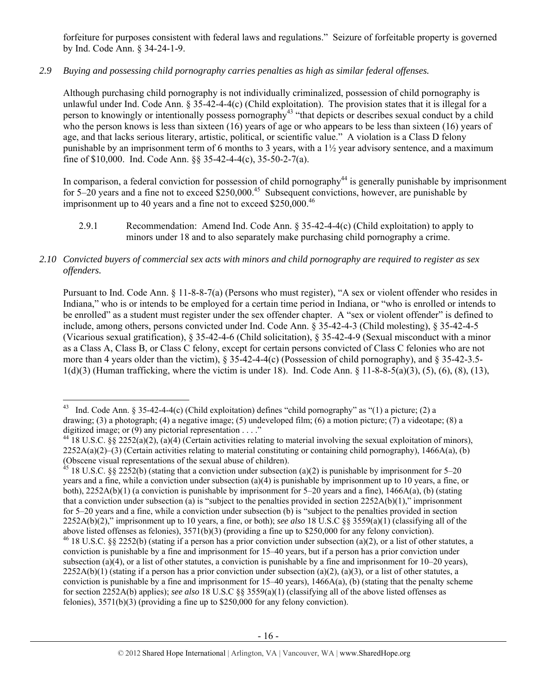forfeiture for purposes consistent with federal laws and regulations." Seizure of forfeitable property is governed by Ind. Code Ann. § 34-24-1-9.

# *2.9 Buying and possessing child pornography carries penalties as high as similar federal offenses.*

Although purchasing child pornography is not individually criminalized, possession of child pornography is unlawful under Ind. Code Ann. § 35-42-4-4(c) (Child exploitation). The provision states that it is illegal for a person to knowingly or intentionally possess pornography<sup>43</sup> "that depicts or describes sexual conduct by a child who the person knows is less than sixteen  $(16)$  years of age or who appears to be less than sixteen  $(16)$  years of age, and that lacks serious literary, artistic, political, or scientific value." A violation is a Class D felony punishable by an imprisonment term of 6 months to 3 years, with a  $1\frac{1}{2}$  year advisory sentence, and a maximum fine of \$10,000. Ind. Code Ann. §§ 35-42-4-4(c), 35-50-2-7(a).

In comparison, a federal conviction for possession of child pornography<sup>44</sup> is generally punishable by imprisonment for  $5-20$  years and a fine not to exceed \$250,000.<sup>45</sup> Subsequent convictions, however, are punishable by imprisonment up to 40 years and a fine not to exceed  $$250,000.<sup>46</sup>$ 

2.9.1 Recommendation: Amend Ind. Code Ann. § 35-42-4-4(c) (Child exploitation) to apply to minors under 18 and to also separately make purchasing child pornography a crime.

## *2.10 Convicted buyers of commercial sex acts with minors and child pornography are required to register as sex offenders.*

Pursuant to Ind. Code Ann. § 11-8-8-7(a) (Persons who must register), "A sex or violent offender who resides in Indiana," who is or intends to be employed for a certain time period in Indiana, or "who is enrolled or intends to be enrolled" as a student must register under the sex offender chapter. A "sex or violent offender" is defined to include, among others, persons convicted under Ind. Code Ann. § 35-42-4-3 (Child molesting), § 35-42-4-5 (Vicarious sexual gratification), § 35-42-4-6 (Child solicitation), § 35-42-4-9 (Sexual misconduct with a minor as a Class A, Class B, or Class C felony, except for certain persons convicted of Class C felonies who are not more than 4 years older than the victim), § 35-42-4-4(c) (Possession of child pornography), and § 35-42-3.5- 1(d)(3) (Human trafficking, where the victim is under 18). Ind. Code Ann. § 11-8-8-5(a)(3), (5), (6), (8), (13),

<sup>&</sup>lt;sup>43</sup> Ind. Code Ann. § 35-42-4-4(c) (Child exploitation) defines "child pornography" as "(1) a picture; (2) a drawing; (3) a photograph; (4) a negative image; (5) undeveloped film; (6) a motion picture; (7) a videotape; (8) a digitized image; or  $(9)$  any pictorial representation . . . ."

<sup>&</sup>lt;sup>44</sup> 18 U.S.C. §§ 2252(a)(2), (a)(4) (Certain activities relating to material involving the sexual exploitation of minors),  $2252A(a)(2)$ –(3) (Certain activities relating to material constituting or containing child pornography), 1466A(a), (b) (Obscene visual representations of the sexual abuse of children).

<sup>&</sup>lt;sup>45</sup> 18 U.S.C. §§ 2252(b) (stating that a conviction under subsection (a)(2) is punishable by imprisonment for 5–20 years and a fine, while a conviction under subsection (a)(4) is punishable by imprisonment up to 10 years, a fine, or both),  $2252A(b)(1)$  (a conviction is punishable by imprisonment for 5–20 years and a fine), 1466A(a), (b) (stating that a conviction under subsection (a) is "subject to the penalties provided in section  $2252A(b)(1)$ ," imprisonment for 5–20 years and a fine, while a conviction under subsection (b) is "subject to the penalties provided in section 2252A(b)(2)," imprisonment up to 10 years, a fine, or both); *see also* 18 U.S.C §§ 3559(a)(1) (classifying all of the above listed offenses as felonies), 3571(b)(3) (providing a fine up to \$250,000 for any felony conviction). <sup>46</sup> 18 U.S.C. §§ 2252(b) (stating if a person has a prior conviction under subsection (a)(2), or a list of other statutes, a

conviction is punishable by a fine and imprisonment for 15–40 years, but if a person has a prior conviction under subsection (a)(4), or a list of other statutes, a conviction is punishable by a fine and imprisonment for  $10-20$  years),  $2252A(b)(1)$  (stating if a person has a prior conviction under subsection (a)(2), (a)(3), or a list of other statutes, a conviction is punishable by a fine and imprisonment for  $15-40$  years),  $1466A(a)$ , (b) (stating that the penalty scheme for section 2252A(b) applies); *see also* 18 U.S.C §§ 3559(a)(1) (classifying all of the above listed offenses as felonies), 3571(b)(3) (providing a fine up to \$250,000 for any felony conviction).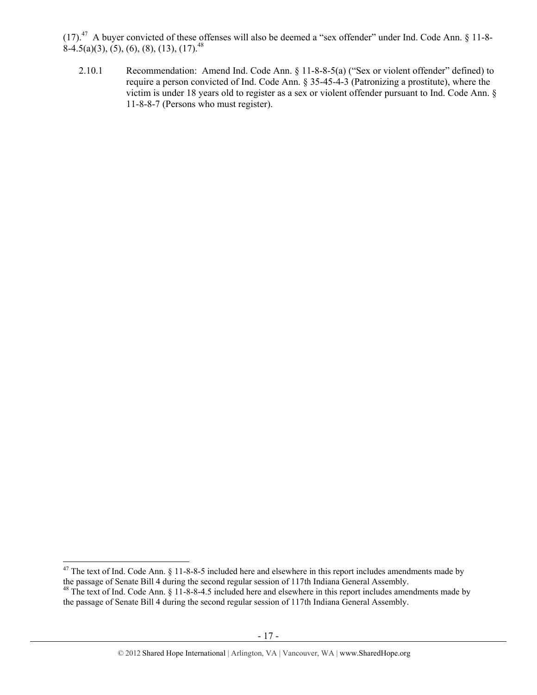(17).47 A buyer convicted of these offenses will also be deemed a "sex offender" under Ind. Code Ann. § 11-8-  $8-4.5(a)(3)$ ,  $(5)$ ,  $(6)$ ,  $(8)$ ,  $(13)$ ,  $(17)$ <sup>48</sup>

2.10.1 Recommendation: Amend Ind. Code Ann. § 11-8-8-5(a) ("Sex or violent offender" defined) to require a person convicted of Ind. Code Ann. § 35-45-4-3 (Patronizing a prostitute), where the victim is under 18 years old to register as a sex or violent offender pursuant to Ind. Code Ann. § 11-8-8-7 (Persons who must register).

  $47$  The text of Ind. Code Ann. § 11-8-8-5 included here and elsewhere in this report includes amendments made by the passage of Senate Bill 4 during the second regular session of 117th Indiana General Assembly.

 $^{48}$  The text of Ind. Code Ann. § 11-8-8-4.5 included here and elsewhere in this report includes amendments made by the passage of Senate Bill 4 during the second regular session of 117th Indiana General Assembly.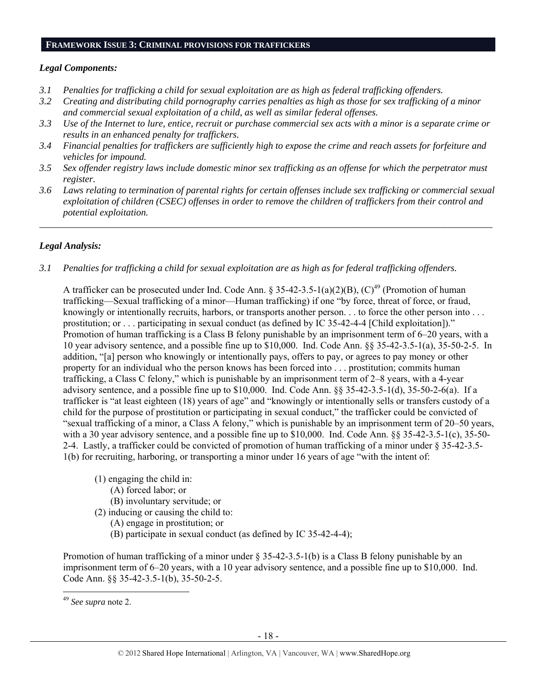#### **FRAMEWORK ISSUE 3: CRIMINAL PROVISIONS FOR TRAFFICKERS**

## *Legal Components:*

- *3.1 Penalties for trafficking a child for sexual exploitation are as high as federal trafficking offenders.*
- *3.2 Creating and distributing child pornography carries penalties as high as those for sex trafficking of a minor and commercial sexual exploitation of a child, as well as similar federal offenses.*
- *3.3 Use of the Internet to lure, entice, recruit or purchase commercial sex acts with a minor is a separate crime or results in an enhanced penalty for traffickers.*
- *3.4 Financial penalties for traffickers are sufficiently high to expose the crime and reach assets for forfeiture and vehicles for impound.*
- *3.5 Sex offender registry laws include domestic minor sex trafficking as an offense for which the perpetrator must register.*
- *3.6 Laws relating to termination of parental rights for certain offenses include sex trafficking or commercial sexual exploitation of children (CSEC) offenses in order to remove the children of traffickers from their control and potential exploitation.*

*\_\_\_\_\_\_\_\_\_\_\_\_\_\_\_\_\_\_\_\_\_\_\_\_\_\_\_\_\_\_\_\_\_\_\_\_\_\_\_\_\_\_\_\_\_\_\_\_\_\_\_\_\_\_\_\_\_\_\_\_\_\_\_\_\_\_\_\_\_\_\_\_\_\_\_\_\_\_\_\_\_\_\_\_\_\_\_\_\_\_\_\_\_\_* 

# *Legal Analysis:*

*3.1 Penalties for trafficking a child for sexual exploitation are as high as for federal trafficking offenders.* 

A trafficker can be prosecuted under Ind. Code Ann. § 35-42-3.5-1(a)(2)(B), (C)<sup>49</sup> (Promotion of human trafficking—Sexual trafficking of a minor—Human trafficking) if one "by force, threat of force, or fraud, knowingly or intentionally recruits, harbors, or transports another person. . . to force the other person into . . . prostitution; or . . . participating in sexual conduct (as defined by IC 35-42-4-4 [Child exploitation])." Promotion of human trafficking is a Class B felony punishable by an imprisonment term of 6–20 years, with a 10 year advisory sentence, and a possible fine up to \$10,000. Ind. Code Ann. §§ 35-42-3.5-1(a), 35-50-2-5. In addition, "[a] person who knowingly or intentionally pays, offers to pay, or agrees to pay money or other property for an individual who the person knows has been forced into . . . prostitution; commits human trafficking, a Class C felony," which is punishable by an imprisonment term of 2–8 years, with a 4-year advisory sentence, and a possible fine up to \$10,000. Ind. Code Ann.  $\S$ § 35-42-3.5-1(d), 35-50-2-6(a). If a trafficker is "at least eighteen (18) years of age" and "knowingly or intentionally sells or transfers custody of a child for the purpose of prostitution or participating in sexual conduct," the trafficker could be convicted of "sexual trafficking of a minor, a Class A felony," which is punishable by an imprisonment term of 20–50 years, with a 30 year advisory sentence, and a possible fine up to \$10,000. Ind. Code Ann. §§ 35-42-3.5-1(c), 35-50-2-4. Lastly, a trafficker could be convicted of promotion of human trafficking of a minor under § 35-42-3.5- 1(b) for recruiting, harboring, or transporting a minor under 16 years of age "with the intent of:

- (1) engaging the child in:
	- (A) forced labor; or
	- (B) involuntary servitude; or
- (2) inducing or causing the child to:
	- (A) engage in prostitution; or
	- (B) participate in sexual conduct (as defined by IC 35-42-4-4);

Promotion of human trafficking of a minor under  $\S 35-42-3.5-1(b)$  is a Class B felony punishable by an imprisonment term of 6–20 years, with a 10 year advisory sentence, and a possible fine up to \$10,000. Ind. Code Ann. §§ 35-42-3.5-1(b), 35-50-2-5.

 <sup>49</sup> *See supra* note 2.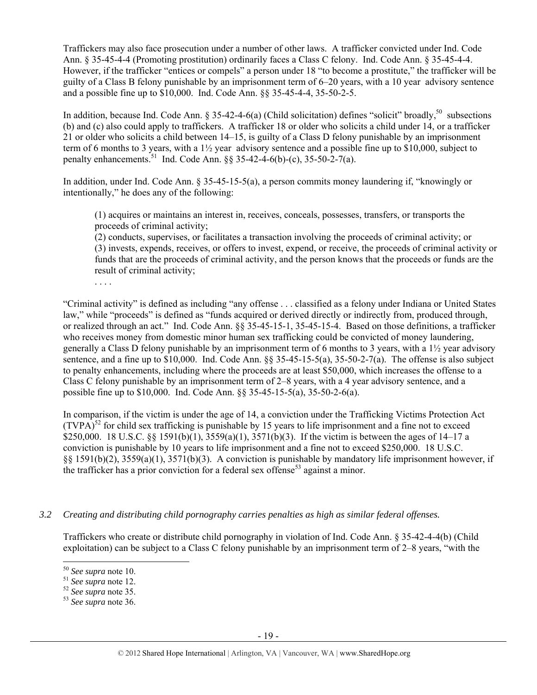Traffickers may also face prosecution under a number of other laws. A trafficker convicted under Ind. Code Ann. § 35-45-4-4 (Promoting prostitution) ordinarily faces a Class C felony. Ind. Code Ann. § 35-45-4-4. However, if the trafficker "entices or compels" a person under 18 "to become a prostitute," the trafficker will be guilty of a Class B felony punishable by an imprisonment term of 6–20 years, with a 10 year advisory sentence and a possible fine up to \$10,000. Ind. Code Ann. §§ 35-45-4-4, 35-50-2-5.

In addition, because Ind. Code Ann. § 35-42-4-6(a) (Child solicitation) defines "solicit" broadly,<sup>50</sup> subsections (b) and (c) also could apply to traffickers. A trafficker 18 or older who solicits a child under 14, or a trafficker 21 or older who solicits a child between 14–15, is guilty of a Class D felony punishable by an imprisonment term of 6 months to 3 years, with a 1½ year advisory sentence and a possible fine up to \$10,000, subject to penalty enhancements.<sup>51</sup> Ind. Code Ann. §§ 35-42-4-6(b)-(c), 35-50-2-7(a).

In addition, under Ind. Code Ann. § 35-45-15-5(a), a person commits money laundering if, "knowingly or intentionally," he does any of the following:

(1) acquires or maintains an interest in, receives, conceals, possesses, transfers, or transports the proceeds of criminal activity;

(2) conducts, supervises, or facilitates a transaction involving the proceeds of criminal activity; or (3) invests, expends, receives, or offers to invest, expend, or receive, the proceeds of criminal activity or funds that are the proceeds of criminal activity, and the person knows that the proceeds or funds are the result of criminal activity;

. . . .

"Criminal activity" is defined as including "any offense . . . classified as a felony under Indiana or United States law," while "proceeds" is defined as "funds acquired or derived directly or indirectly from, produced through, or realized through an act." Ind. Code Ann. §§ 35-45-15-1, 35-45-15-4. Based on those definitions, a trafficker who receives money from domestic minor human sex trafficking could be convicted of money laundering, generally a Class D felony punishable by an imprisonment term of 6 months to 3 years, with a 1½ year advisory sentence, and a fine up to \$10,000. Ind. Code Ann. §§ 35-45-15-5(a), 35-50-2-7(a). The offense is also subject to penalty enhancements, including where the proceeds are at least \$50,000, which increases the offense to a Class C felony punishable by an imprisonment term of 2–8 years, with a 4 year advisory sentence, and a possible fine up to \$10,000. Ind. Code Ann. §§ 35-45-15-5(a), 35-50-2-6(a).

In comparison, if the victim is under the age of 14, a conviction under the Trafficking Victims Protection Act  $(TVPA)^{52}$  for child sex trafficking is punishable by 15 years to life imprisonment and a fine not to exceed \$250,000. 18 U.S.C. §§ 1591(b)(1), 3559(a)(1), 3571(b)(3). If the victim is between the ages of 14–17 a conviction is punishable by 10 years to life imprisonment and a fine not to exceed \$250,000. 18 U.S.C. §§ 1591(b)(2), 3559(a)(1), 3571(b)(3). A conviction is punishable by mandatory life imprisonment however, if the trafficker has a prior conviction for a federal sex offense<sup>53</sup> against a minor.

## *3.2 Creating and distributing child pornography carries penalties as high as similar federal offenses.*

Traffickers who create or distribute child pornography in violation of Ind. Code Ann. § 35-42-4-4(b) (Child exploitation) can be subject to a Class C felony punishable by an imprisonment term of 2–8 years, "with the

<sup>50</sup> *See supra* note 10. 51 *See supra* note 12. 52 *See supra* note 35. 53 *See supra* note 36.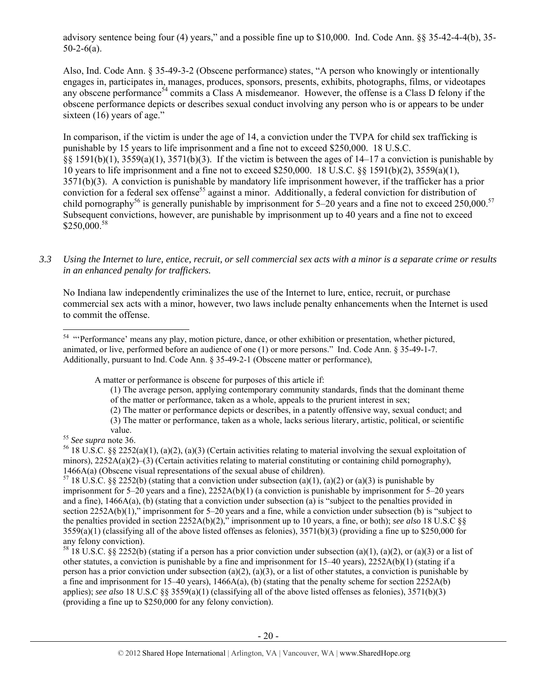advisory sentence being four (4) years," and a possible fine up to \$10,000. Ind. Code Ann. §§ 35-42-4-4(b), 35-  $50-2-6(a)$ .

Also, Ind. Code Ann. § 35-49-3-2 (Obscene performance) states, "A person who knowingly or intentionally engages in, participates in, manages, produces, sponsors, presents, exhibits, photographs, films, or videotapes any obscene performance<sup>54</sup> commits a Class A misdemeanor. However, the offense is a Class D felony if the obscene performance depicts or describes sexual conduct involving any person who is or appears to be under sixteen (16) years of age."

In comparison, if the victim is under the age of 14, a conviction under the TVPA for child sex trafficking is punishable by 15 years to life imprisonment and a fine not to exceed \$250,000. 18 U.S.C. §§ 1591(b)(1), 3559(a)(1), 3571(b)(3). If the victim is between the ages of 14–17 a conviction is punishable by 10 years to life imprisonment and a fine not to exceed \$250,000. 18 U.S.C. §§ 1591(b)(2), 3559(a)(1), 3571(b)(3). A conviction is punishable by mandatory life imprisonment however, if the trafficker has a prior conviction for a federal sex offense<sup>55</sup> against a minor. Additionally, a federal conviction for distribution of child pornography<sup>56</sup> is generally punishable by imprisonment for  $5-20$  years and a fine not to exceed 250,000.<sup>57</sup> Subsequent convictions, however, are punishable by imprisonment up to 40 years and a fine not to exceed  $$250,000.<sup>58</sup>$ 

*3.3 Using the Internet to lure, entice, recruit, or sell commercial sex acts with a minor is a separate crime or results in an enhanced penalty for traffickers.* 

No Indiana law independently criminalizes the use of the Internet to lure, entice, recruit, or purchase commercial sex acts with a minor, however, two laws include penalty enhancements when the Internet is used to commit the offense.

A matter or performance is obscene for purposes of this article if:

- (1) The average person, applying contemporary community standards, finds that the dominant theme of the matter or performance, taken as a whole, appeals to the prurient interest in sex;
- 

(2) The matter or performance depicts or describes, in a patently offensive way, sexual conduct; and (3) The matter or performance, taken as a whole, lacks serious literary, artistic, political, or scientific

imprisonment for 5–20 years and a fine), 2252A(b)(1) (a conviction is punishable by imprisonment for 5–20 years and a fine),  $1466A(a)$ , (b) (stating that a conviction under subsection (a) is "subject to the penalties provided in section 2252A(b)(1)," imprisonment for 5–20 years and a fine, while a conviction under subsection (b) is "subject to the penalties provided in section 2252A(b)(2)," imprisonment up to 10 years, a fine, or both); *see also* 18 U.S.C §§ 3559(a)(1) (classifying all of the above listed offenses as felonies), 3571(b)(3) (providing a fine up to \$250,000 for any felony conviction).

<sup>58</sup> 18 U.S.C. §§ 2252(b) (stating if a person has a prior conviction under subsection (a)(1), (a)(2), or (a)(3) or a list of other statutes, a conviction is punishable by a fine and imprisonment for 15–40 years), 2252A(b)(1) (stating if a person has a prior conviction under subsection (a)(2), (a)(3), or a list of other statutes, a conviction is punishable by a fine and imprisonment for 15–40 years),  $1466A(a)$ , (b) (stating that the penalty scheme for section 2252A(b) applies); *see also* 18 U.S.C §§ 3559(a)(1) (classifying all of the above listed offenses as felonies), 3571(b)(3) (providing a fine up to \$250,000 for any felony conviction).

 <sup>54</sup> "Performance' means any play, motion picture, dance, or other exhibition or presentation, whether pictured, animated, or live, performed before an audience of one (1) or more persons." Ind. Code Ann. § 35-49-1-7. Additionally, pursuant to Ind. Code Ann. § 35-49-2-1 (Obscene matter or performance),

value.<br><sup>55</sup> *See supra* note 36.<br><sup>56</sup> 18 U.S.C. §§ 2252(a)(1), (a)(2), (a)(3) (Certain activities relating to material involving the sexual exploitation of minors),  $2252A(a)(2)$ –(3) (Certain activities relating to material constituting or containing child pornography), 1466A(a) (Obscene visual representations of the sexual abuse of children).<br><sup>57</sup> 18 U.S.C. §§ 2252(b) (stating that a conviction under subsection (a)(1), (a)(2) or (a)(3) is punishable by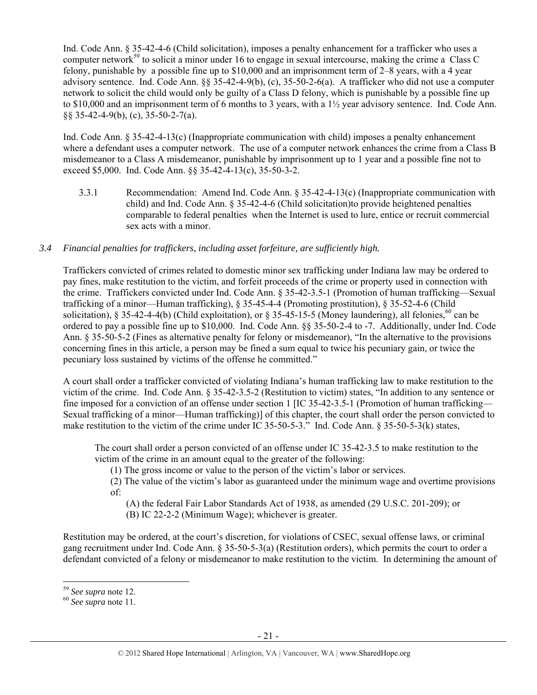Ind. Code Ann. § 35-42-4-6 (Child solicitation), imposes a penalty enhancement for a trafficker who uses a computer network<sup>59</sup> to solicit a minor under 16 to engage in sexual intercourse, making the crime a Class C felony, punishable by a possible fine up to \$10,000 and an imprisonment term of 2–8 years, with a 4 year advisory sentence. Ind. Code Ann. §§ 35-42-4-9(b), (c), 35-50-2-6(a). A trafficker who did not use a computer network to solicit the child would only be guilty of a Class D felony, which is punishable by a possible fine up to \$10,000 and an imprisonment term of 6 months to 3 years, with a 1½ year advisory sentence. Ind. Code Ann. §§ 35-42-4-9(b), (c), 35-50-2-7(a).

Ind. Code Ann. § 35-42-4-13(c) (Inappropriate communication with child) imposes a penalty enhancement where a defendant uses a computer network. The use of a computer network enhances the crime from a Class B misdemeanor to a Class A misdemeanor, punishable by imprisonment up to 1 year and a possible fine not to exceed \$5,000. Ind. Code Ann. §§ 35-42-4-13(c), 35-50-3-2.

3.3.1 Recommendation: Amend Ind. Code Ann. § 35-42-4-13(c) (Inappropriate communication with child) and Ind. Code Ann. § 35-42-4-6 (Child solicitation)to provide heightened penalties comparable to federal penalties when the Internet is used to lure, entice or recruit commercial sex acts with a minor.

## *3.4 Financial penalties for traffickers, including asset forfeiture, are sufficiently high.*

Traffickers convicted of crimes related to domestic minor sex trafficking under Indiana law may be ordered to pay fines, make restitution to the victim, and forfeit proceeds of the crime or property used in connection with the crime. Traffickers convicted under Ind. Code Ann. § 35-42-3.5-1 (Promotion of human trafficking—Sexual trafficking of a minor—Human trafficking), § 35-45-4-4 (Promoting prostitution), § 35-52-4-6 (Child solicitation), § 35-42-4-4(b) (Child exploitation), or § 35-45-15-5 (Money laundering), all felonies,  $^{60}$  can be ordered to pay a possible fine up to \$10,000. Ind. Code Ann. §§ 35-50-2-4 to -7. Additionally, under Ind. Code Ann. § 35-50-5-2 (Fines as alternative penalty for felony or misdemeanor), "In the alternative to the provisions concerning fines in this article, a person may be fined a sum equal to twice his pecuniary gain, or twice the pecuniary loss sustained by victims of the offense he committed."

A court shall order a trafficker convicted of violating Indiana's human trafficking law to make restitution to the victim of the crime. Ind. Code Ann. § 35-42-3.5-2 (Restitution to victim) states, "In addition to any sentence or fine imposed for a conviction of an offense under section 1 [IC 35-42-3.5-1 (Promotion of human trafficking— Sexual trafficking of a minor—Human trafficking)] of this chapter, the court shall order the person convicted to make restitution to the victim of the crime under IC 35-50-5-3." Ind. Code Ann. § 35-50-5-3(k) states,

The court shall order a person convicted of an offense under IC 35-42-3.5 to make restitution to the victim of the crime in an amount equal to the greater of the following:

(1) The gross income or value to the person of the victim's labor or services.

(2) The value of the victim's labor as guaranteed under the minimum wage and overtime provisions of:

(A) the federal Fair Labor Standards Act of 1938, as amended (29 U.S.C. 201-209); or

(B) IC 22-2-2 (Minimum Wage); whichever is greater.

Restitution may be ordered, at the court's discretion, for violations of CSEC, sexual offense laws, or criminal gang recruitment under Ind. Code Ann. § 35-50-5-3(a) (Restitution orders), which permits the court to order a defendant convicted of a felony or misdemeanor to make restitution to the victim. In determining the amount of

<sup>59</sup> *See supra* note 12. 60 *See supra* note 11.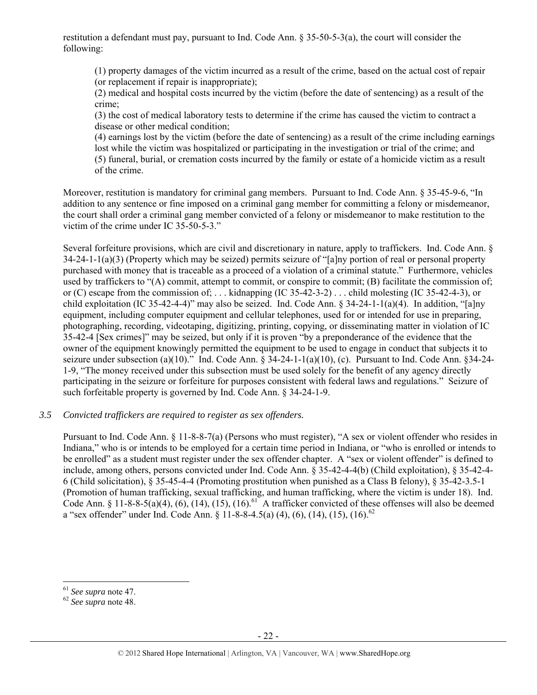restitution a defendant must pay, pursuant to Ind. Code Ann. § 35-50-5-3(a), the court will consider the following:

(1) property damages of the victim incurred as a result of the crime, based on the actual cost of repair (or replacement if repair is inappropriate);

(2) medical and hospital costs incurred by the victim (before the date of sentencing) as a result of the crime;

(3) the cost of medical laboratory tests to determine if the crime has caused the victim to contract a disease or other medical condition;

(4) earnings lost by the victim (before the date of sentencing) as a result of the crime including earnings lost while the victim was hospitalized or participating in the investigation or trial of the crime; and (5) funeral, burial, or cremation costs incurred by the family or estate of a homicide victim as a result of the crime.

Moreover, restitution is mandatory for criminal gang members. Pursuant to Ind. Code Ann. § 35-45-9-6, "In addition to any sentence or fine imposed on a criminal gang member for committing a felony or misdemeanor, the court shall order a criminal gang member convicted of a felony or misdemeanor to make restitution to the victim of the crime under IC 35-50-5-3."

Several forfeiture provisions, which are civil and discretionary in nature, apply to traffickers. Ind. Code Ann. § 34-24-1-1(a)(3) (Property which may be seized) permits seizure of "[a]ny portion of real or personal property purchased with money that is traceable as a proceed of a violation of a criminal statute." Furthermore, vehicles used by traffickers to "(A) commit, attempt to commit, or conspire to commit; (B) facilitate the commission of; or (C) escape from the commission of; . . . kidnapping (IC 35-42-3-2) . . . child molesting (IC 35-42-4-3), or child exploitation (IC 35-42-4-4)" may also be seized. Ind. Code Ann. § 34-24-1-1(a)(4). In addition, "[a]ny equipment, including computer equipment and cellular telephones, used for or intended for use in preparing, photographing, recording, videotaping, digitizing, printing, copying, or disseminating matter in violation of IC 35-42-4 [Sex crimes]" may be seized, but only if it is proven "by a preponderance of the evidence that the owner of the equipment knowingly permitted the equipment to be used to engage in conduct that subjects it to seizure under subsection (a)(10)." Ind. Code Ann. § 34-24-1-1(a)(10), (c). Pursuant to Ind. Code Ann. §34-24- 1-9, "The money received under this subsection must be used solely for the benefit of any agency directly participating in the seizure or forfeiture for purposes consistent with federal laws and regulations." Seizure of such forfeitable property is governed by Ind. Code Ann. § 34-24-1-9.

#### *3.5 Convicted traffickers are required to register as sex offenders.*

Pursuant to Ind. Code Ann. § 11-8-8-7(a) (Persons who must register), "A sex or violent offender who resides in Indiana," who is or intends to be employed for a certain time period in Indiana, or "who is enrolled or intends to be enrolled" as a student must register under the sex offender chapter. A "sex or violent offender" is defined to include, among others, persons convicted under Ind. Code Ann. § 35-42-4-4(b) (Child exploitation), § 35-42-4- 6 (Child solicitation), § 35-45-4-4 (Promoting prostitution when punished as a Class B felony), § 35-42-3.5-1 (Promotion of human trafficking, sexual trafficking, and human trafficking, where the victim is under 18). Ind. Code Ann. § 11-8-8-5(a)(4), (6), (14), (15), (16).<sup>61</sup> A trafficker convicted of these offenses will also be deemed a "sex offender" under Ind. Code Ann. § 11-8-8-4.5(a) (4), (6), (14), (15), (16).<sup>62</sup>

<sup>61</sup> *See supra* note 47. 62 *See supra* note 48.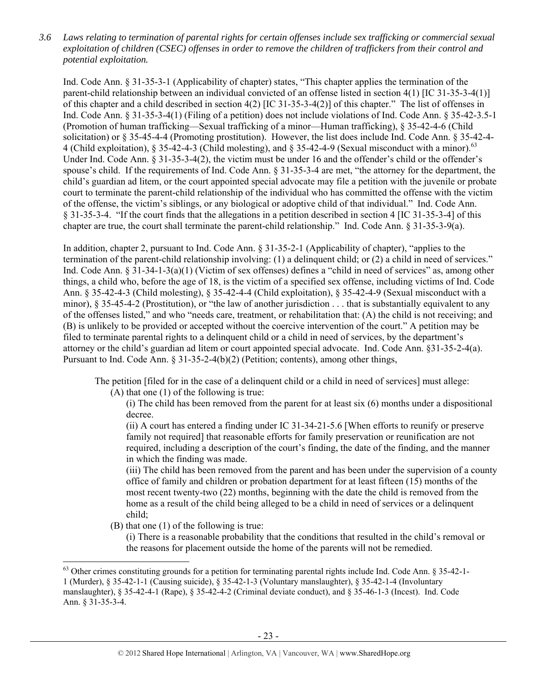*3.6 Laws relating to termination of parental rights for certain offenses include sex trafficking or commercial sexual exploitation of children (CSEC) offenses in order to remove the children of traffickers from their control and potential exploitation.* 

Ind. Code Ann. § 31-35-3-1 (Applicability of chapter) states, "This chapter applies the termination of the parent-child relationship between an individual convicted of an offense listed in section 4(1) [IC 31-35-3-4(1)] of this chapter and a child described in section 4(2) [IC 31-35-3-4(2)] of this chapter." The list of offenses in Ind. Code Ann. § 31-35-3-4(1) (Filing of a petition) does not include violations of Ind. Code Ann. § 35-42-3.5-1 (Promotion of human trafficking—Sexual trafficking of a minor—Human trafficking), § 35-42-4-6 (Child solicitation) or § 35-45-4-4 (Promoting prostitution). However, the list does include Ind. Code Ann. § 35-42-4- 4 (Child exploitation),  $\S 35-42-4-3$  (Child molesting), and  $\S 35-42-4-9$  (Sexual misconduct with a minor).<sup>63</sup> Under Ind. Code Ann. § 31-35-3-4(2), the victim must be under 16 and the offender's child or the offender's spouse's child. If the requirements of Ind. Code Ann. § 31-35-3-4 are met, "the attorney for the department, the child's guardian ad litem, or the court appointed special advocate may file a petition with the juvenile or probate court to terminate the parent-child relationship of the individual who has committed the offense with the victim of the offense, the victim's siblings, or any biological or adoptive child of that individual." Ind. Code Ann. § 31-35-3-4. "If the court finds that the allegations in a petition described in section 4 [IC 31-35-3-4] of this chapter are true, the court shall terminate the parent-child relationship." Ind. Code Ann. § 31-35-3-9(a).

In addition, chapter 2, pursuant to Ind. Code Ann. § 31-35-2-1 (Applicability of chapter), "applies to the termination of the parent-child relationship involving: (1) a delinquent child; or (2) a child in need of services." Ind. Code Ann. § 31-34-1-3(a)(1) (Victim of sex offenses) defines a "child in need of services" as, among other things, a child who, before the age of 18, is the victim of a specified sex offense, including victims of Ind. Code Ann. § 35-42-4-3 (Child molesting), § 35-42-4-4 (Child exploitation), § 35-42-4-9 (Sexual misconduct with a minor), § 35-45-4-2 (Prostitution), or "the law of another jurisdiction . . . that is substantially equivalent to any of the offenses listed," and who "needs care, treatment, or rehabilitation that: (A) the child is not receiving; and (B) is unlikely to be provided or accepted without the coercive intervention of the court." A petition may be filed to terminate parental rights to a delinquent child or a child in need of services, by the department's attorney or the child's guardian ad litem or court appointed special advocate. Ind. Code Ann. §31-35-2-4(a). Pursuant to Ind. Code Ann. § 31-35-2-4(b)(2) (Petition; contents), among other things,

The petition [filed for in the case of a delinquent child or a child in need of services] must allege:

(A) that one (1) of the following is true:

(i) The child has been removed from the parent for at least six (6) months under a dispositional decree.

(ii) A court has entered a finding under IC 31-34-21-5.6 [When efforts to reunify or preserve family not required] that reasonable efforts for family preservation or reunification are not required, including a description of the court's finding, the date of the finding, and the manner in which the finding was made.

(iii) The child has been removed from the parent and has been under the supervision of a county office of family and children or probation department for at least fifteen (15) months of the most recent twenty-two (22) months, beginning with the date the child is removed from the home as a result of the child being alleged to be a child in need of services or a delinquent child;

(B) that one (1) of the following is true:

(i) There is a reasonable probability that the conditions that resulted in the child's removal or the reasons for placement outside the home of the parents will not be remedied.

 $63$  Other crimes constituting grounds for a petition for terminating parental rights include Ind. Code Ann.  $\S 35-42-1-$ 

<sup>1 (</sup>Murder), § 35-42-1-1 (Causing suicide), § 35-42-1-3 (Voluntary manslaughter), § 35-42-1-4 (Involuntary manslaughter), § 35-42-4-1 (Rape), § 35-42-4-2 (Criminal deviate conduct), and § 35-46-1-3 (Incest). Ind. Code Ann. § 31-35-3-4.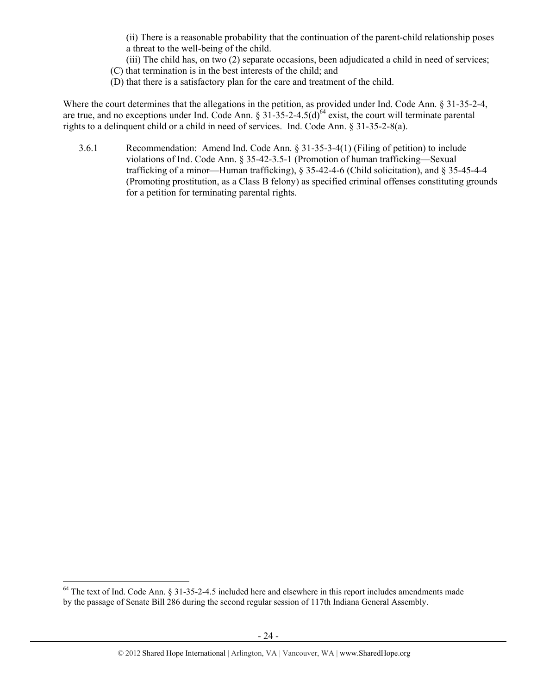(ii) There is a reasonable probability that the continuation of the parent-child relationship poses a threat to the well-being of the child.

(iii) The child has, on two (2) separate occasions, been adjudicated a child in need of services; (C) that termination is in the best interests of the child; and

(D) that there is a satisfactory plan for the care and treatment of the child.

Where the court determines that the allegations in the petition, as provided under Ind. Code Ann. § 31-35-2-4, are true, and no exceptions under Ind. Code Ann.  $\S 31-35-2-4.5(d)^{64}$  exist, the court will terminate parental rights to a delinquent child or a child in need of services. Ind. Code Ann. § 31-35-2-8(a).

3.6.1 Recommendation: Amend Ind. Code Ann. § 31-35-3-4(1) (Filing of petition) to include violations of Ind. Code Ann. § 35-42-3.5-1 (Promotion of human trafficking—Sexual trafficking of a minor—Human trafficking), § 35-42-4-6 (Child solicitation), and § 35-45-4-4 (Promoting prostitution, as a Class B felony) as specified criminal offenses constituting grounds for a petition for terminating parental rights.

<sup>&</sup>lt;sup>64</sup> The text of Ind. Code Ann. § 31-35-2-4.5 included here and elsewhere in this report includes amendments made by the passage of Senate Bill 286 during the second regular session of 117th Indiana General Assembly.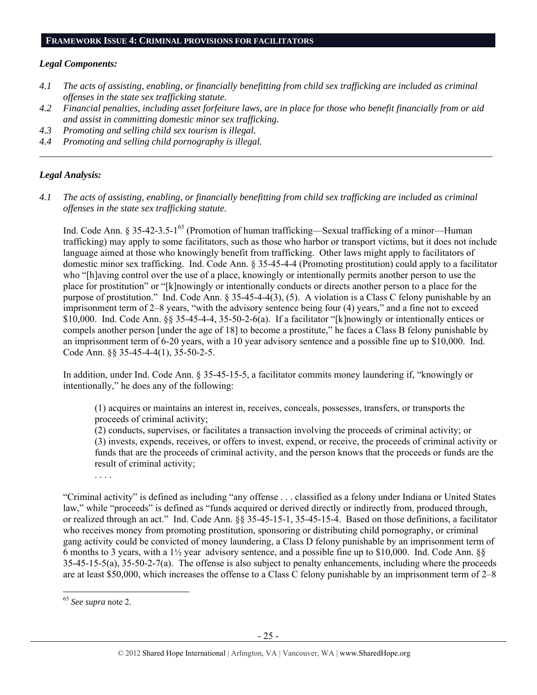#### *Legal Components:*

- *4.1 The acts of assisting, enabling, or financially benefitting from child sex trafficking are included as criminal offenses in the state sex trafficking statute.*
- *4.2 Financial penalties, including asset forfeiture laws, are in place for those who benefit financially from or aid and assist in committing domestic minor sex trafficking.*

*\_\_\_\_\_\_\_\_\_\_\_\_\_\_\_\_\_\_\_\_\_\_\_\_\_\_\_\_\_\_\_\_\_\_\_\_\_\_\_\_\_\_\_\_\_\_\_\_\_\_\_\_\_\_\_\_\_\_\_\_\_\_\_\_\_\_\_\_\_\_\_\_\_\_\_\_\_\_\_\_\_\_\_\_\_\_\_\_\_\_\_\_\_\_* 

- *4.3 Promoting and selling child sex tourism is illegal.*
- *4.4 Promoting and selling child pornography is illegal.*

#### *Legal Analysis:*

*4.1 The acts of assisting, enabling, or financially benefitting from child sex trafficking are included as criminal offenses in the state sex trafficking statute.*

Ind. Code Ann. § 35-42-3.5-1<sup>65</sup> (Promotion of human trafficking—Sexual trafficking of a minor—Human trafficking) may apply to some facilitators, such as those who harbor or transport victims, but it does not include language aimed at those who knowingly benefit from trafficking. Other laws might apply to facilitators of domestic minor sex trafficking. Ind. Code Ann. § 35-45-4-4 (Promoting prostitution) could apply to a facilitator who "[h]aving control over the use of a place, knowingly or intentionally permits another person to use the place for prostitution" or "[k]nowingly or intentionally conducts or directs another person to a place for the purpose of prostitution." Ind. Code Ann. § 35-45-4-4(3), (5). A violation is a Class C felony punishable by an imprisonment term of 2–8 years, "with the advisory sentence being four (4) years," and a fine not to exceed \$10,000. Ind. Code Ann. §§ 35-45-4-4, 35-50-2-6(a). If a facilitator "[k]nowingly or intentionally entices or compels another person [under the age of 18] to become a prostitute," he faces a Class B felony punishable by an imprisonment term of 6-20 years, with a 10 year advisory sentence and a possible fine up to \$10,000. Ind. Code Ann. §§ 35-45-4-4(1), 35-50-2-5.

In addition, under Ind. Code Ann. § 35-45-15-5, a facilitator commits money laundering if, "knowingly or intentionally," he does any of the following:

(1) acquires or maintains an interest in, receives, conceals, possesses, transfers, or transports the proceeds of criminal activity;

(2) conducts, supervises, or facilitates a transaction involving the proceeds of criminal activity; or (3) invests, expends, receives, or offers to invest, expend, or receive, the proceeds of criminal activity or funds that are the proceeds of criminal activity, and the person knows that the proceeds or funds are the result of criminal activity;

. . . .

"Criminal activity" is defined as including "any offense . . . classified as a felony under Indiana or United States law," while "proceeds" is defined as "funds acquired or derived directly or indirectly from, produced through, or realized through an act." Ind. Code Ann. §§ 35-45-15-1, 35-45-15-4. Based on those definitions, a facilitator who receives money from promoting prostitution, sponsoring or distributing child pornography, or criminal gang activity could be convicted of money laundering, a Class D felony punishable by an imprisonment term of 6 months to 3 years, with a  $1\frac{1}{2}$  year advisory sentence, and a possible fine up to \$10,000. Ind. Code Ann. §§ 35-45-15-5(a), 35-50-2-7(a). The offense is also subject to penalty enhancements, including where the proceeds are at least \$50,000, which increases the offense to a Class C felony punishable by an imprisonment term of 2–8

<sup>65</sup> *See supra* note 2.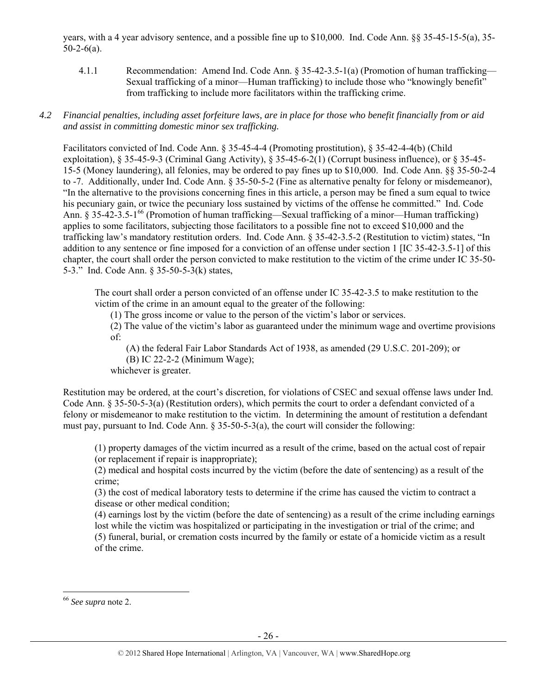years, with a 4 year advisory sentence, and a possible fine up to \$10,000. Ind. Code Ann. §§ 35-45-15-5(a), 35-  $50 - 2 - 6(a)$ .

4.1.1 Recommendation: Amend Ind. Code Ann. § 35-42-3.5-1(a) (Promotion of human trafficking— Sexual trafficking of a minor—Human trafficking) to include those who "knowingly benefit" from trafficking to include more facilitators within the trafficking crime.

## *4.2 Financial penalties, including asset forfeiture laws, are in place for those who benefit financially from or aid and assist in committing domestic minor sex trafficking.*

Facilitators convicted of Ind. Code Ann. § 35-45-4-4 (Promoting prostitution), § 35-42-4-4(b) (Child exploitation), § 35-45-9-3 (Criminal Gang Activity), § 35-45-6-2(1) (Corrupt business influence), or § 35-45- 15-5 (Money laundering), all felonies, may be ordered to pay fines up to \$10,000. Ind. Code Ann. §§ 35-50-2-4 to -7. Additionally, under Ind. Code Ann. § 35-50-5-2 (Fine as alternative penalty for felony or misdemeanor), "In the alternative to the provisions concerning fines in this article, a person may be fined a sum equal to twice his pecuniary gain, or twice the pecuniary loss sustained by victims of the offense he committed." Ind. Code Ann. § 35-42-3.5-1<sup>66</sup> (Promotion of human trafficking—Sexual trafficking of a minor—Human trafficking) applies to some facilitators, subjecting those facilitators to a possible fine not to exceed \$10,000 and the trafficking law's mandatory restitution orders. Ind. Code Ann. § 35-42-3.5-2 (Restitution to victim) states, "In addition to any sentence or fine imposed for a conviction of an offense under section 1 [IC 35-42-3.5-1] of this chapter, the court shall order the person convicted to make restitution to the victim of the crime under IC 35-50- 5-3." Ind. Code Ann. § 35-50-5-3(k) states,

The court shall order a person convicted of an offense under IC 35-42-3.5 to make restitution to the victim of the crime in an amount equal to the greater of the following:

(1) The gross income or value to the person of the victim's labor or services.

(2) The value of the victim's labor as guaranteed under the minimum wage and overtime provisions of:

(A) the federal Fair Labor Standards Act of 1938, as amended (29 U.S.C. 201-209); or

(B) IC 22-2-2 (Minimum Wage);

whichever is greater.

Restitution may be ordered, at the court's discretion, for violations of CSEC and sexual offense laws under Ind. Code Ann. § 35-50-5-3(a) (Restitution orders), which permits the court to order a defendant convicted of a felony or misdemeanor to make restitution to the victim. In determining the amount of restitution a defendant must pay, pursuant to Ind. Code Ann. § 35-50-5-3(a), the court will consider the following:

(1) property damages of the victim incurred as a result of the crime, based on the actual cost of repair (or replacement if repair is inappropriate);

(2) medical and hospital costs incurred by the victim (before the date of sentencing) as a result of the crime;

(3) the cost of medical laboratory tests to determine if the crime has caused the victim to contract a disease or other medical condition;

(4) earnings lost by the victim (before the date of sentencing) as a result of the crime including earnings lost while the victim was hospitalized or participating in the investigation or trial of the crime; and (5) funeral, burial, or cremation costs incurred by the family or estate of a homicide victim as a result of the crime.

<sup>66</sup> *See supra* note 2.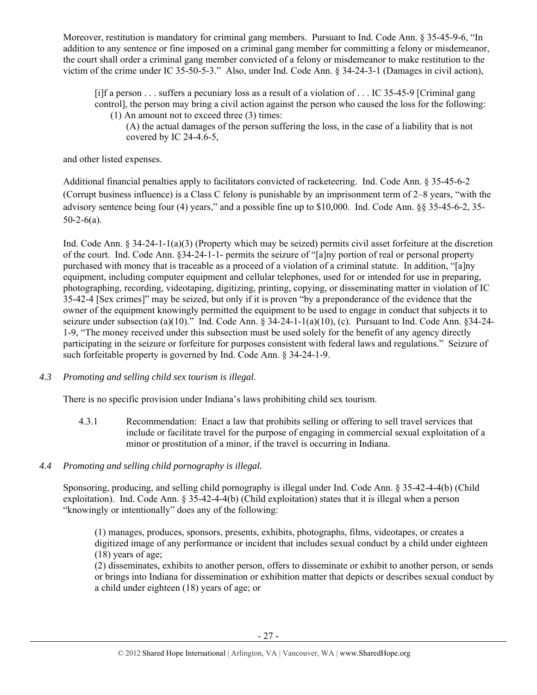Moreover, restitution is mandatory for criminal gang members. Pursuant to Ind. Code Ann. § 35-45-9-6, "In addition to any sentence or fine imposed on a criminal gang member for committing a felony or misdemeanor, the court shall order a criminal gang member convicted of a felony or misdemeanor to make restitution to the victim of the crime under IC 35-50-5-3." Also, under Ind. Code Ann. § 34-24-3-1 (Damages in civil action),

[i]f a person . . . suffers a pecuniary loss as a result of a violation of . . . IC 35-45-9 [Criminal gang control], the person may bring a civil action against the person who caused the loss for the following: (1) An amount not to exceed three (3) times:

(A) the actual damages of the person suffering the loss, in the case of a liability that is not covered by IC 24-4.6-5,

and other listed expenses.

Additional financial penalties apply to facilitators convicted of racketeering. Ind. Code Ann. § 35-45-6-2 (Corrupt business influence) is a Class C felony is punishable by an imprisonment term of 2–8 years, "with the advisory sentence being four (4) years," and a possible fine up to \$10,000. Ind. Code Ann. §§ 35-45-6-2, 35-  $50-2-6(a)$ .

Ind. Code Ann. § 34-24-1-1(a)(3) (Property which may be seized) permits civil asset forfeiture at the discretion of the court. Ind. Code Ann. §34-24-1-1- permits the seizure of "[a]ny portion of real or personal property purchased with money that is traceable as a proceed of a violation of a criminal statute. In addition, "[a]ny equipment, including computer equipment and cellular telephones, used for or intended for use in preparing, photographing, recording, videotaping, digitizing, printing, copying, or disseminating matter in violation of IC 35-42-4 [Sex crimes]" may be seized, but only if it is proven "by a preponderance of the evidence that the owner of the equipment knowingly permitted the equipment to be used to engage in conduct that subjects it to seizure under subsection (a)(10)." Ind. Code Ann. § 34-24-1-1(a)(10), (c). Pursuant to Ind. Code Ann. §34-24- 1-9, "The money received under this subsection must be used solely for the benefit of any agency directly participating in the seizure or forfeiture for purposes consistent with federal laws and regulations." Seizure of such forfeitable property is governed by Ind. Code Ann. § 34-24-1-9.

*4.3 Promoting and selling child sex tourism is illegal*.

There is no specific provision under Indiana's laws prohibiting child sex tourism.

- 4.3.1 Recommendation: Enact a law that prohibits selling or offering to sell travel services that include or facilitate travel for the purpose of engaging in commercial sexual exploitation of a minor or prostitution of a minor, if the travel is occurring in Indiana.
- *4.4 Promoting and selling child pornography is illegal.*

Sponsoring, producing, and selling child pornography is illegal under Ind. Code Ann. § 35-42-4-4(b) (Child exploitation). Ind. Code Ann. § 35-42-4-4(b) (Child exploitation) states that it is illegal when a person "knowingly or intentionally" does any of the following:

(1) manages, produces, sponsors, presents, exhibits, photographs, films, videotapes, or creates a digitized image of any performance or incident that includes sexual conduct by a child under eighteen (18) years of age;

(2) disseminates, exhibits to another person, offers to disseminate or exhibit to another person, or sends or brings into Indiana for dissemination or exhibition matter that depicts or describes sexual conduct by a child under eighteen (18) years of age; or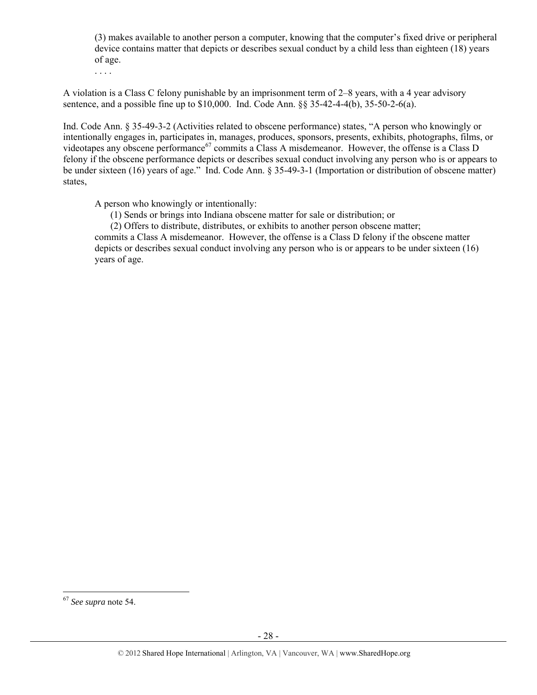(3) makes available to another person a computer, knowing that the computer's fixed drive or peripheral device contains matter that depicts or describes sexual conduct by a child less than eighteen (18) years of age.

. . . .

A violation is a Class C felony punishable by an imprisonment term of 2–8 years, with a 4 year advisory sentence, and a possible fine up to \$10,000. Ind. Code Ann. §§ 35-42-4-4(b), 35-50-2-6(a).

Ind. Code Ann. § 35-49-3-2 (Activities related to obscene performance) states, "A person who knowingly or intentionally engages in, participates in, manages, produces, sponsors, presents, exhibits, photographs, films, or videotapes any obscene performance<sup>67</sup> commits a Class A misdemeanor. However, the offense is a Class D felony if the obscene performance depicts or describes sexual conduct involving any person who is or appears to be under sixteen (16) years of age." Ind. Code Ann. § 35-49-3-1 (Importation or distribution of obscene matter) states,

A person who knowingly or intentionally:

(1) Sends or brings into Indiana obscene matter for sale or distribution; or

(2) Offers to distribute, distributes, or exhibits to another person obscene matter;

commits a Class A misdemeanor. However, the offense is a Class D felony if the obscene matter depicts or describes sexual conduct involving any person who is or appears to be under sixteen (16) years of age.

 <sup>67</sup> *See supra* note 54.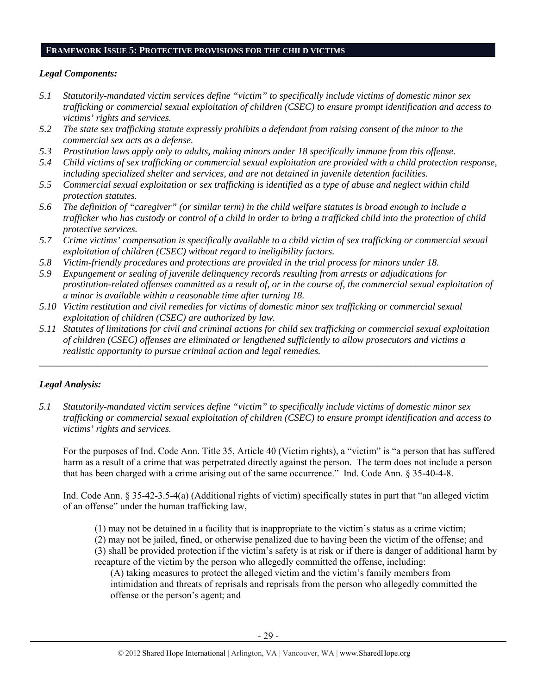#### **FRAMEWORK ISSUE 5: PROTECTIVE PROVISIONS FOR THE CHILD VICTIMS**

## *Legal Components:*

- *5.1 Statutorily-mandated victim services define "victim" to specifically include victims of domestic minor sex trafficking or commercial sexual exploitation of children (CSEC) to ensure prompt identification and access to victims' rights and services.*
- *5.2 The state sex trafficking statute expressly prohibits a defendant from raising consent of the minor to the commercial sex acts as a defense.*
- *5.3 Prostitution laws apply only to adults, making minors under 18 specifically immune from this offense.*
- *5.4 Child victims of sex trafficking or commercial sexual exploitation are provided with a child protection response, including specialized shelter and services, and are not detained in juvenile detention facilities.*
- *5.5 Commercial sexual exploitation or sex trafficking is identified as a type of abuse and neglect within child protection statutes.*
- *5.6 The definition of "caregiver" (or similar term) in the child welfare statutes is broad enough to include a trafficker who has custody or control of a child in order to bring a trafficked child into the protection of child protective services.*
- *5.7 Crime victims' compensation is specifically available to a child victim of sex trafficking or commercial sexual exploitation of children (CSEC) without regard to ineligibility factors.*
- *5.8 Victim-friendly procedures and protections are provided in the trial process for minors under 18.*
- *5.9 Expungement or sealing of juvenile delinquency records resulting from arrests or adjudications for prostitution-related offenses committed as a result of, or in the course of, the commercial sexual exploitation of a minor is available within a reasonable time after turning 18.*
- *5.10 Victim restitution and civil remedies for victims of domestic minor sex trafficking or commercial sexual exploitation of children (CSEC) are authorized by law.*
- *5.11 Statutes of limitations for civil and criminal actions for child sex trafficking or commercial sexual exploitation of children (CSEC) offenses are eliminated or lengthened sufficiently to allow prosecutors and victims a realistic opportunity to pursue criminal action and legal remedies.*

*\_\_\_\_\_\_\_\_\_\_\_\_\_\_\_\_\_\_\_\_\_\_\_\_\_\_\_\_\_\_\_\_\_\_\_\_\_\_\_\_\_\_\_\_\_\_\_\_\_\_\_\_\_\_\_\_\_\_\_\_\_\_\_\_\_\_\_\_\_\_\_\_\_\_\_\_\_\_\_\_\_\_\_\_\_\_\_\_\_\_\_\_\_* 

## *Legal Analysis:*

*5.1 Statutorily-mandated victim services define "victim" to specifically include victims of domestic minor sex trafficking or commercial sexual exploitation of children (CSEC) to ensure prompt identification and access to victims' rights and services.* 

For the purposes of Ind. Code Ann. Title 35, Article 40 (Victim rights), a "victim" is "a person that has suffered harm as a result of a crime that was perpetrated directly against the person. The term does not include a person that has been charged with a crime arising out of the same occurrence." Ind. Code Ann. § 35-40-4-8.

Ind. Code Ann. § 35-42-3.5-4(a) (Additional rights of victim) specifically states in part that "an alleged victim of an offense" under the human trafficking law,

(1) may not be detained in a facility that is inappropriate to the victim's status as a crime victim;

(2) may not be jailed, fined, or otherwise penalized due to having been the victim of the offense; and (3) shall be provided protection if the victim's safety is at risk or if there is danger of additional harm by recapture of the victim by the person who allegedly committed the offense, including:

(A) taking measures to protect the alleged victim and the victim's family members from intimidation and threats of reprisals and reprisals from the person who allegedly committed the offense or the person's agent; and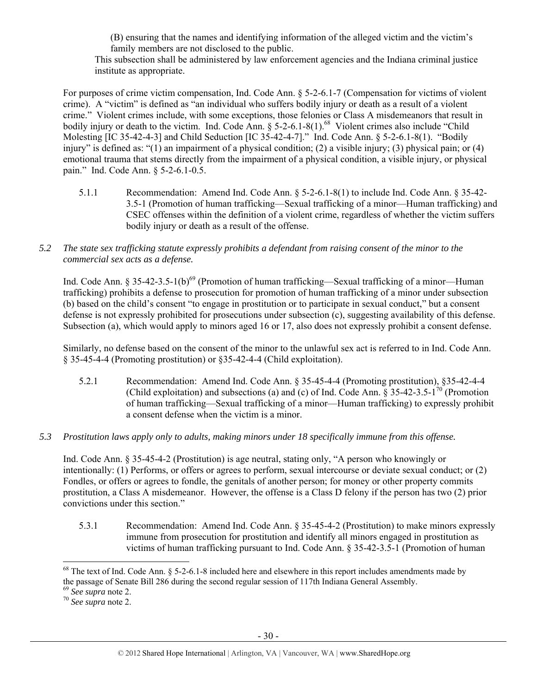(B) ensuring that the names and identifying information of the alleged victim and the victim's family members are not disclosed to the public.

This subsection shall be administered by law enforcement agencies and the Indiana criminal justice institute as appropriate.

For purposes of crime victim compensation, Ind. Code Ann. § 5-2-6.1-7 (Compensation for victims of violent crime). A "victim" is defined as "an individual who suffers bodily injury or death as a result of a violent crime." Violent crimes include, with some exceptions, those felonies or Class A misdemeanors that result in bodily injury or death to the victim. Ind. Code Ann.  $\frac{6}{5}$  5-2-6.1-8(1).<sup>68</sup> Violent crimes also include "Child" Molesting [IC 35-42-4-3] and Child Seduction [IC 35-42-4-7]." Ind. Code Ann. § 5-2-6.1-8(1). "Bodily injury" is defined as: "(1) an impairment of a physical condition; (2) a visible injury; (3) physical pain; or (4) emotional trauma that stems directly from the impairment of a physical condition, a visible injury, or physical pain." Ind. Code Ann. § 5-2-6.1-0.5.

- 5.1.1 Recommendation: Amend Ind. Code Ann. § 5-2-6.1-8(1) to include Ind. Code Ann. § 35-42- 3.5-1 (Promotion of human trafficking—Sexual trafficking of a minor—Human trafficking) and CSEC offenses within the definition of a violent crime, regardless of whether the victim suffers bodily injury or death as a result of the offense.
- *5.2 The state sex trafficking statute expressly prohibits a defendant from raising consent of the minor to the commercial sex acts as a defense.*

Ind. Code Ann. § 35-42-3.5-1(b)<sup>69</sup> (Promotion of human trafficking—Sexual trafficking of a minor—Human trafficking) prohibits a defense to prosecution for promotion of human trafficking of a minor under subsection (b) based on the child's consent "to engage in prostitution or to participate in sexual conduct," but a consent defense is not expressly prohibited for prosecutions under subsection (c), suggesting availability of this defense. Subsection (a), which would apply to minors aged 16 or 17, also does not expressly prohibit a consent defense.

Similarly, no defense based on the consent of the minor to the unlawful sex act is referred to in Ind. Code Ann. § 35-45-4-4 (Promoting prostitution) or §35-42-4-4 (Child exploitation).

- 5.2.1 Recommendation: Amend Ind. Code Ann. § 35-45-4-4 (Promoting prostitution), §35-42-4-4 (Child exploitation) and subsections (a) and (c) of Ind. Code Ann.  $\S 35-42-3.5-1^{70}$  (Promotion of human trafficking—Sexual trafficking of a minor—Human trafficking) to expressly prohibit a consent defense when the victim is a minor.
- *5.3 Prostitution laws apply only to adults, making minors under 18 specifically immune from this offense.*

Ind. Code Ann. § 35-45-4-2 (Prostitution) is age neutral, stating only, "A person who knowingly or intentionally: (1) Performs, or offers or agrees to perform, sexual intercourse or deviate sexual conduct; or (2) Fondles, or offers or agrees to fondle, the genitals of another person; for money or other property commits prostitution, a Class A misdemeanor. However, the offense is a Class D felony if the person has two (2) prior convictions under this section."

5.3.1 Recommendation: Amend Ind. Code Ann. § 35-45-4-2 (Prostitution) to make minors expressly immune from prosecution for prostitution and identify all minors engaged in prostitution as victims of human trafficking pursuant to Ind. Code Ann. § 35-42-3.5-1 (Promotion of human

 $^{68}$  The text of Ind. Code Ann.  $\delta$  5-2-6.1-8 included here and elsewhere in this report includes amendments made by the passage of Senate Bill 286 during the second regular session of 117th Indiana General Assembly.<br><sup>69</sup> *See supra* note 2.<br><sup>70</sup> *See supra* note 2.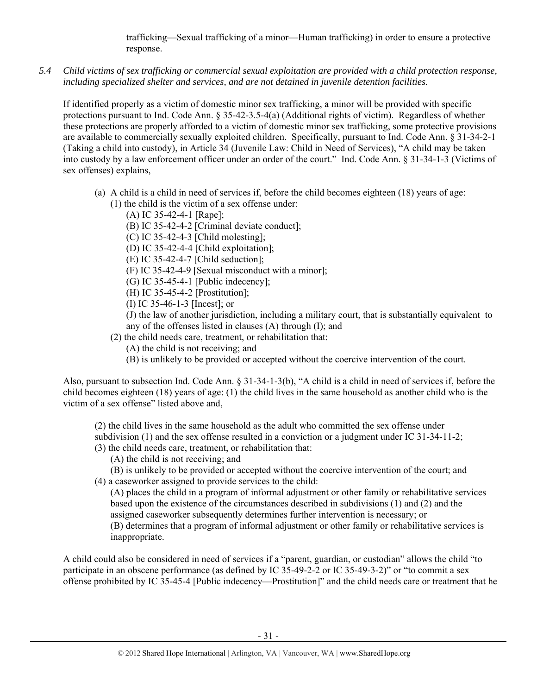trafficking—Sexual trafficking of a minor—Human trafficking) in order to ensure a protective response.

*5.4 Child victims of sex trafficking or commercial sexual exploitation are provided with a child protection response, including specialized shelter and services, and are not detained in juvenile detention facilities.* 

If identified properly as a victim of domestic minor sex trafficking, a minor will be provided with specific protections pursuant to Ind. Code Ann. § 35-42-3.5-4(a) (Additional rights of victim). Regardless of whether these protections are properly afforded to a victim of domestic minor sex trafficking, some protective provisions are available to commercially sexually exploited children. Specifically, pursuant to Ind. Code Ann. § 31-34-2-1 (Taking a child into custody), in Article 34 (Juvenile Law: Child in Need of Services), "A child may be taken into custody by a law enforcement officer under an order of the court." Ind. Code Ann. § 31-34-1-3 (Victims of sex offenses) explains,

- (a) A child is a child in need of services if, before the child becomes eighteen (18) years of age: (1) the child is the victim of a sex offense under:
	- (A) IC 35-42-4-1 [Rape];
	- (B) IC 35-42-4-2 [Criminal deviate conduct];
	- (C) IC 35-42-4-3 [Child molesting];
	- (D) IC 35-42-4-4 [Child exploitation];
	- (E) IC 35-42-4-7 [Child seduction];
	- (F) IC 35-42-4-9 [Sexual misconduct with a minor];
	- (G) IC 35-45-4-1 [Public indecency];
	- (H) IC 35-45-4-2 [Prostitution];
	- (I) IC 35-46-1-3 [Incest]; or

(J) the law of another jurisdiction, including a military court, that is substantially equivalent to any of the offenses listed in clauses (A) through (I); and

- (2) the child needs care, treatment, or rehabilitation that:
	- (A) the child is not receiving; and
	- (B) is unlikely to be provided or accepted without the coercive intervention of the court.

Also, pursuant to subsection Ind. Code Ann. § 31-34-1-3(b), "A child is a child in need of services if, before the child becomes eighteen (18) years of age: (1) the child lives in the same household as another child who is the victim of a sex offense" listed above and,

(2) the child lives in the same household as the adult who committed the sex offense under subdivision (1) and the sex offense resulted in a conviction or a judgment under IC 31-34-11-2;

- (3) the child needs care, treatment, or rehabilitation that:
	- (A) the child is not receiving; and
- (B) is unlikely to be provided or accepted without the coercive intervention of the court; and (4) a caseworker assigned to provide services to the child:

(A) places the child in a program of informal adjustment or other family or rehabilitative services based upon the existence of the circumstances described in subdivisions (1) and (2) and the assigned caseworker subsequently determines further intervention is necessary; or (B) determines that a program of informal adjustment or other family or rehabilitative services is inappropriate.

A child could also be considered in need of services if a "parent, guardian, or custodian" allows the child "to participate in an obscene performance (as defined by IC 35-49-2-2 or IC 35-49-3-2)" or "to commit a sex offense prohibited by IC 35-45-4 [Public indecency—Prostitution]" and the child needs care or treatment that he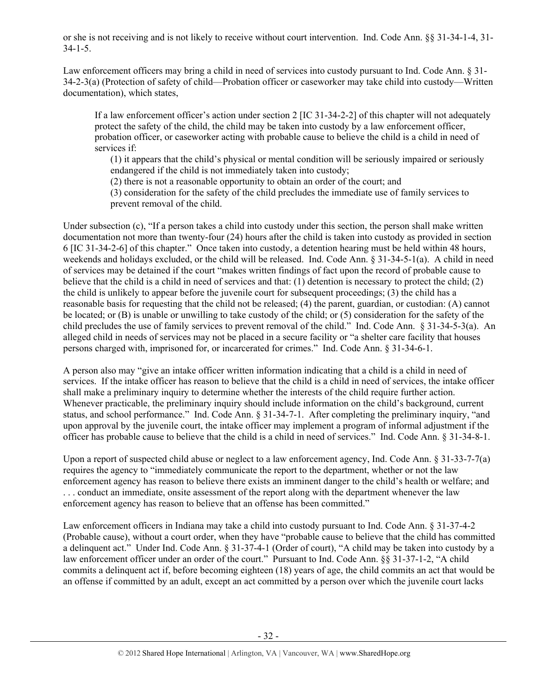or she is not receiving and is not likely to receive without court intervention. Ind. Code Ann. §§ 31-34-1-4, 31- 34-1-5.

Law enforcement officers may bring a child in need of services into custody pursuant to Ind. Code Ann. § 31- 34-2-3(a) (Protection of safety of child—Probation officer or caseworker may take child into custody—Written documentation), which states,

If a law enforcement officer's action under section 2 [IC 31-34-2-2] of this chapter will not adequately protect the safety of the child, the child may be taken into custody by a law enforcement officer, probation officer, or caseworker acting with probable cause to believe the child is a child in need of services if:

(1) it appears that the child's physical or mental condition will be seriously impaired or seriously endangered if the child is not immediately taken into custody;

(2) there is not a reasonable opportunity to obtain an order of the court; and

(3) consideration for the safety of the child precludes the immediate use of family services to prevent removal of the child.

Under subsection (c), "If a person takes a child into custody under this section, the person shall make written documentation not more than twenty-four (24) hours after the child is taken into custody as provided in section 6 [IC 31-34-2-6] of this chapter." Once taken into custody, a detention hearing must be held within 48 hours, weekends and holidays excluded, or the child will be released. Ind. Code Ann. § 31-34-5-1(a). A child in need of services may be detained if the court "makes written findings of fact upon the record of probable cause to believe that the child is a child in need of services and that: (1) detention is necessary to protect the child; (2) the child is unlikely to appear before the juvenile court for subsequent proceedings; (3) the child has a reasonable basis for requesting that the child not be released; (4) the parent, guardian, or custodian: (A) cannot be located; or (B) is unable or unwilling to take custody of the child; or (5) consideration for the safety of the child precludes the use of family services to prevent removal of the child." Ind. Code Ann. § 31-34-5-3(a). An alleged child in needs of services may not be placed in a secure facility or "a shelter care facility that houses persons charged with, imprisoned for, or incarcerated for crimes." Ind. Code Ann. § 31-34-6-1.

A person also may "give an intake officer written information indicating that a child is a child in need of services. If the intake officer has reason to believe that the child is a child in need of services, the intake officer shall make a preliminary inquiry to determine whether the interests of the child require further action. Whenever practicable, the preliminary inquiry should include information on the child's background, current status, and school performance." Ind. Code Ann. § 31-34-7-1. After completing the preliminary inquiry, "and upon approval by the juvenile court, the intake officer may implement a program of informal adjustment if the officer has probable cause to believe that the child is a child in need of services." Ind. Code Ann. § 31-34-8-1.

Upon a report of suspected child abuse or neglect to a law enforcement agency, Ind. Code Ann. § 31-33-7-7(a) requires the agency to "immediately communicate the report to the department, whether or not the law enforcement agency has reason to believe there exists an imminent danger to the child's health or welfare; and . . . conduct an immediate, onsite assessment of the report along with the department whenever the law enforcement agency has reason to believe that an offense has been committed."

Law enforcement officers in Indiana may take a child into custody pursuant to Ind. Code Ann. § 31-37-4-2 (Probable cause), without a court order, when they have "probable cause to believe that the child has committed a delinquent act." Under Ind. Code Ann. § 31-37-4-1 (Order of court), "A child may be taken into custody by a law enforcement officer under an order of the court." Pursuant to Ind. Code Ann. §§ 31-37-1-2, "A child commits a delinquent act if, before becoming eighteen (18) years of age, the child commits an act that would be an offense if committed by an adult, except an act committed by a person over which the juvenile court lacks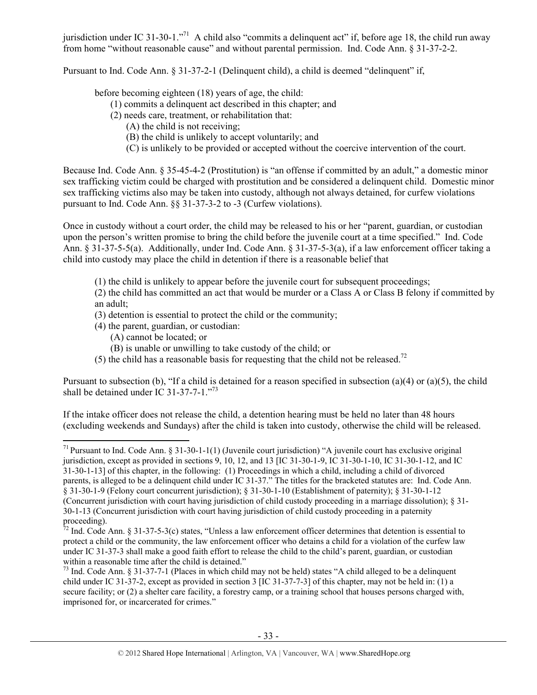jurisdiction under IC 31-30-1."<sup>71</sup> A child also "commits a delinquent act" if, before age 18, the child run away from home "without reasonable cause" and without parental permission. Ind. Code Ann. § 31-37-2-2.

Pursuant to Ind. Code Ann. § 31-37-2-1 (Delinquent child), a child is deemed "delinquent" if,

before becoming eighteen (18) years of age, the child:

- (1) commits a delinquent act described in this chapter; and
- (2) needs care, treatment, or rehabilitation that:
	- (A) the child is not receiving;
	- (B) the child is unlikely to accept voluntarily; and
	- (C) is unlikely to be provided or accepted without the coercive intervention of the court.

Because Ind. Code Ann. § 35-45-4-2 (Prostitution) is "an offense if committed by an adult," a domestic minor sex trafficking victim could be charged with prostitution and be considered a delinquent child. Domestic minor sex trafficking victims also may be taken into custody, although not always detained, for curfew violations pursuant to Ind. Code Ann. §§ 31-37-3-2 to -3 (Curfew violations).

Once in custody without a court order, the child may be released to his or her "parent, guardian, or custodian upon the person's written promise to bring the child before the juvenile court at a time specified." Ind. Code Ann. § 31-37-5-5(a). Additionally, under Ind. Code Ann. § 31-37-5-3(a), if a law enforcement officer taking a child into custody may place the child in detention if there is a reasonable belief that

(1) the child is unlikely to appear before the juvenile court for subsequent proceedings;

(2) the child has committed an act that would be murder or a Class A or Class B felony if committed by an adult;

- (3) detention is essential to protect the child or the community;
- (4) the parent, guardian, or custodian:
	- (A) cannot be located; or
	- (B) is unable or unwilling to take custody of the child; or
- (5) the child has a reasonable basis for requesting that the child not be released.<sup>72</sup>

Pursuant to subsection (b), "If a child is detained for a reason specified in subsection (a)(4) or (a)(5), the child shall be detained under  $IC$  31-37-7-1."<sup>73</sup>

If the intake officer does not release the child, a detention hearing must be held no later than 48 hours (excluding weekends and Sundays) after the child is taken into custody, otherwise the child will be released.

 <sup>71</sup> Pursuant to Ind. Code Ann. § 31-30-1-1(1) (Juvenile court jurisdiction) "A juvenile court has exclusive original jurisdiction, except as provided in sections 9, 10, 12, and 13 [IC 31-30-1-9, IC 31-30-1-10, IC 31-30-1-12, and IC 31-30-1-13] of this chapter, in the following: (1) Proceedings in which a child, including a child of divorced parents, is alleged to be a delinquent child under IC 31-37." The titles for the bracketed statutes are: Ind. Code Ann. § 31-30-1-9 (Felony court concurrent jurisdiction); § 31-30-1-10 (Establishment of paternity); § 31-30-1-12 (Concurrent jurisdiction with court having jurisdiction of child custody proceeding in a marriage dissolution); § 31- 30-1-13 (Concurrent jurisdiction with court having jurisdiction of child custody proceeding in a paternity proceeding).

 $^{72}$  Ind. Code Ann. § 31-37-5-3(c) states, "Unless a law enforcement officer determines that detention is essential to protect a child or the community, the law enforcement officer who detains a child for a violation of the curfew law under IC 31-37-3 shall make a good faith effort to release the child to the child's parent, guardian, or custodian within a reasonable time after the child is detained."

<sup>&</sup>lt;sup>73</sup> Ind. Code Ann. § 31-37-7-1 (Places in which child may not be held) states "A child alleged to be a delinquent child under IC 31-37-2, except as provided in section 3 [IC 31-37-7-3] of this chapter, may not be held in: (1) a secure facility; or (2) a shelter care facility, a forestry camp, or a training school that houses persons charged with, imprisoned for, or incarcerated for crimes."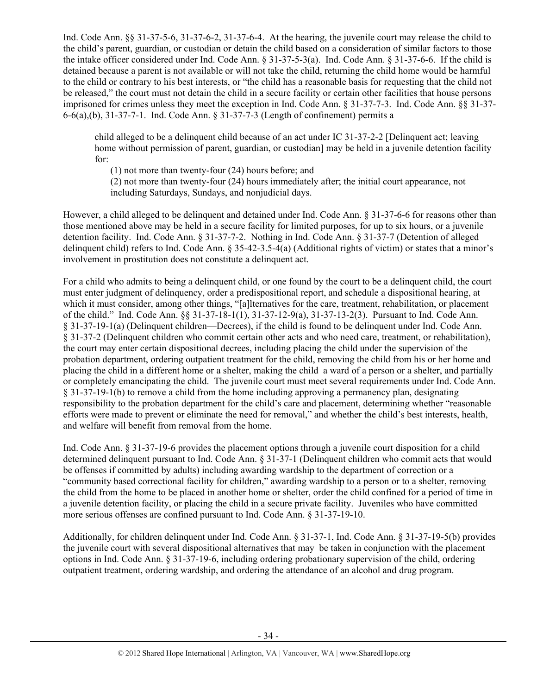Ind. Code Ann. §§ 31-37-5-6, 31-37-6-2, 31-37-6-4. At the hearing, the juvenile court may release the child to the child's parent, guardian, or custodian or detain the child based on a consideration of similar factors to those the intake officer considered under Ind. Code Ann. § 31-37-5-3(a). Ind. Code Ann. § 31-37-6-6. If the child is detained because a parent is not available or will not take the child, returning the child home would be harmful to the child or contrary to his best interests, or "the child has a reasonable basis for requesting that the child not be released," the court must not detain the child in a secure facility or certain other facilities that house persons imprisoned for crimes unless they meet the exception in Ind. Code Ann. § 31-37-7-3. Ind. Code Ann. §§ 31-37- 6-6(a),(b), 31-37-7-1. Ind. Code Ann. § 31-37-7-3 (Length of confinement) permits a

child alleged to be a delinquent child because of an act under IC 31-37-2-2 [Delinquent act; leaving home without permission of parent, guardian, or custodian] may be held in a juvenile detention facility for:

(1) not more than twenty-four (24) hours before; and

(2) not more than twenty-four (24) hours immediately after; the initial court appearance, not including Saturdays, Sundays, and nonjudicial days.

However, a child alleged to be delinquent and detained under Ind. Code Ann. § 31-37-6-6 for reasons other than those mentioned above may be held in a secure facility for limited purposes, for up to six hours, or a juvenile detention facility. Ind. Code Ann. § 31-37-7-2. Nothing in Ind. Code Ann. § 31-37-7 (Detention of alleged delinquent child) refers to Ind. Code Ann. § 35-42-3.5-4(a) (Additional rights of victim) or states that a minor's involvement in prostitution does not constitute a delinquent act.

For a child who admits to being a delinquent child, or one found by the court to be a delinquent child, the court must enter judgment of delinquency, order a predispositional report, and schedule a dispositional hearing, at which it must consider, among other things, "[a]lternatives for the care, treatment, rehabilitation, or placement of the child." Ind. Code Ann. §§ 31-37-18-1(1), 31-37-12-9(a), 31-37-13-2(3). Pursuant to Ind. Code Ann. § 31-37-19-1(a) (Delinquent children—Decrees), if the child is found to be delinquent under Ind. Code Ann. § 31-37-2 (Delinquent children who commit certain other acts and who need care, treatment, or rehabilitation), the court may enter certain dispositional decrees, including placing the child under the supervision of the probation department, ordering outpatient treatment for the child, removing the child from his or her home and placing the child in a different home or a shelter, making the child a ward of a person or a shelter, and partially or completely emancipating the child. The juvenile court must meet several requirements under Ind. Code Ann. § 31-37-19-1(b) to remove a child from the home including approving a permanency plan, designating responsibility to the probation department for the child's care and placement, determining whether "reasonable efforts were made to prevent or eliminate the need for removal," and whether the child's best interests, health, and welfare will benefit from removal from the home.

Ind. Code Ann. § 31-37-19-6 provides the placement options through a juvenile court disposition for a child determined delinquent pursuant to Ind. Code Ann. § 31-37-1 (Delinquent children who commit acts that would be offenses if committed by adults) including awarding wardship to the department of correction or a "community based correctional facility for children," awarding wardship to a person or to a shelter, removing the child from the home to be placed in another home or shelter, order the child confined for a period of time in a juvenile detention facility, or placing the child in a secure private facility. Juveniles who have committed more serious offenses are confined pursuant to Ind. Code Ann. § 31-37-19-10.

Additionally, for children delinquent under Ind. Code Ann. § 31-37-1, Ind. Code Ann. § 31-37-19-5(b) provides the juvenile court with several dispositional alternatives that may be taken in conjunction with the placement options in Ind. Code Ann. § 31-37-19-6, including ordering probationary supervision of the child, ordering outpatient treatment, ordering wardship, and ordering the attendance of an alcohol and drug program.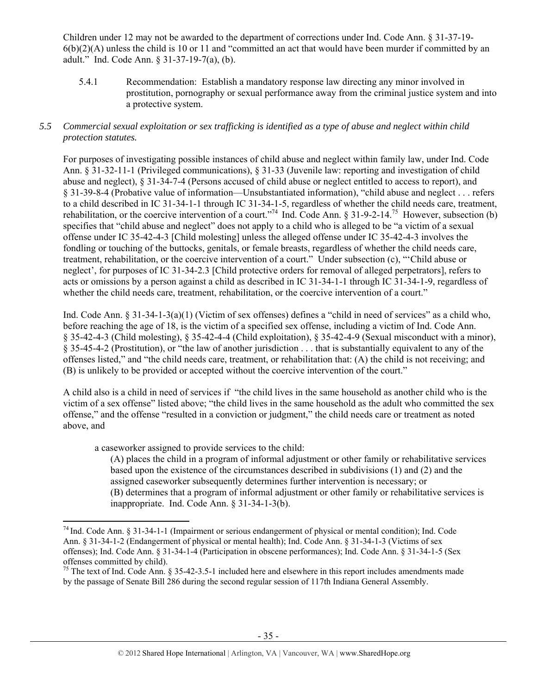Children under 12 may not be awarded to the department of corrections under Ind. Code Ann. § 31-37-19-  $6(b)(2)(A)$  unless the child is 10 or 11 and "committed an act that would have been murder if committed by an adult." Ind. Code Ann. § 31-37-19-7(a), (b).

5.4.1 Recommendation: Establish a mandatory response law directing any minor involved in prostitution, pornography or sexual performance away from the criminal justice system and into a protective system.

## *5.5 Commercial sexual exploitation or sex trafficking is identified as a type of abuse and neglect within child protection statutes.*

For purposes of investigating possible instances of child abuse and neglect within family law, under Ind. Code Ann. § 31-32-11-1 (Privileged communications), § 31-33 (Juvenile law: reporting and investigation of child abuse and neglect), § 31-34-7-4 (Persons accused of child abuse or neglect entitled to access to report), and § 31-39-8-4 (Probative value of information—Unsubstantiated information), "child abuse and neglect . . . refers to a child described in IC 31-34-1-1 through IC 31-34-1-5, regardless of whether the child needs care, treatment, rehabilitation, or the coercive intervention of a court."<sup>74</sup> Ind. Code Ann. § 31-9-2-14.<sup>75</sup> However, subsection (b) specifies that "child abuse and neglect" does not apply to a child who is alleged to be "a victim of a sexual offense under IC 35-42-4-3 [Child molesting] unless the alleged offense under IC 35-42-4-3 involves the fondling or touching of the buttocks, genitals, or female breasts, regardless of whether the child needs care, treatment, rehabilitation, or the coercive intervention of a court." Under subsection (c), "'Child abuse or neglect', for purposes of IC 31-34-2.3 [Child protective orders for removal of alleged perpetrators], refers to acts or omissions by a person against a child as described in IC 31-34-1-1 through IC 31-34-1-9, regardless of whether the child needs care, treatment, rehabilitation, or the coercive intervention of a court."

Ind. Code Ann. § 31-34-1-3(a)(1) (Victim of sex offenses) defines a "child in need of services" as a child who, before reaching the age of 18, is the victim of a specified sex offense, including a victim of Ind. Code Ann. § 35-42-4-3 (Child molesting), § 35-42-4-4 (Child exploitation), § 35-42-4-9 (Sexual misconduct with a minor), § 35-45-4-2 (Prostitution), or "the law of another jurisdiction . . . that is substantially equivalent to any of the offenses listed," and "the child needs care, treatment, or rehabilitation that: (A) the child is not receiving; and (B) is unlikely to be provided or accepted without the coercive intervention of the court."

A child also is a child in need of services if "the child lives in the same household as another child who is the victim of a sex offense" listed above; "the child lives in the same household as the adult who committed the sex offense," and the offense "resulted in a conviction or judgment," the child needs care or treatment as noted above, and

a caseworker assigned to provide services to the child:

(A) places the child in a program of informal adjustment or other family or rehabilitative services based upon the existence of the circumstances described in subdivisions (1) and (2) and the assigned caseworker subsequently determines further intervention is necessary; or (B) determines that a program of informal adjustment or other family or rehabilitative services is inappropriate. Ind. Code Ann. § 31-34-1-3(b).

 $74$  Ind. Code Ann. § 31-34-1-1 (Impairment or serious endangerment of physical or mental condition); Ind. Code Ann. § 31-34-1-2 (Endangerment of physical or mental health); Ind. Code Ann. § 31-34-1-3 (Victims of sex offenses); Ind. Code Ann. § 31-34-1-4 (Participation in obscene performances); Ind. Code Ann. § 31-34-1-5 (Sex offenses committed by child).

<sup>&</sup>lt;sup>75</sup> The text of Ind. Code Ann. § 35-42-3.5-1 included here and elsewhere in this report includes amendments made by the passage of Senate Bill 286 during the second regular session of 117th Indiana General Assembly.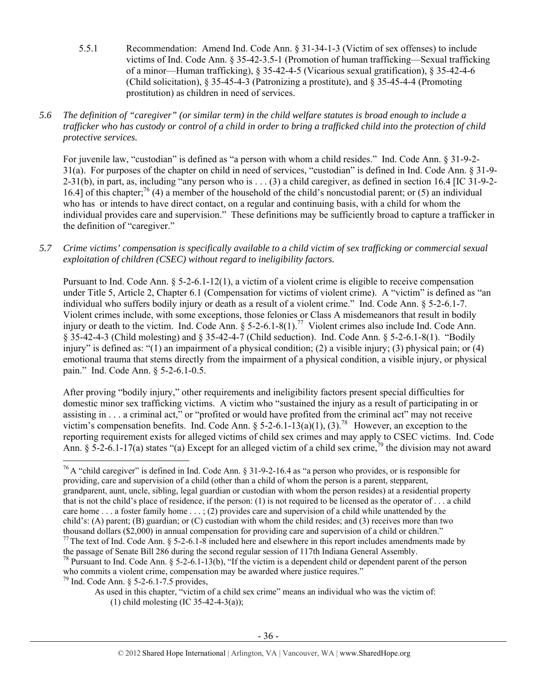- 5.5.1 Recommendation: Amend Ind. Code Ann. § 31-34-1-3 (Victim of sex offenses) to include victims of Ind. Code Ann. § 35-42-3.5-1 (Promotion of human trafficking—Sexual trafficking of a minor—Human trafficking), § 35-42-4-5 (Vicarious sexual gratification), § 35-42-4-6 (Child solicitation), § 35-45-4-3 (Patronizing a prostitute), and § 35-45-4-4 (Promoting prostitution) as children in need of services.
- *5.6 The definition of "caregiver" (or similar term) in the child welfare statutes is broad enough to include a trafficker who has custody or control of a child in order to bring a trafficked child into the protection of child protective services.*

For juvenile law, "custodian" is defined as "a person with whom a child resides." Ind. Code Ann. § 31-9-2- 31(a). For purposes of the chapter on child in need of services, "custodian" is defined in Ind. Code Ann. § 31-9-  $2-31(b)$ , in part, as, including "any person who is . . . (3) a child caregiver, as defined in section 16.4 [IC 31-9-2-16.4] of this chapter;<sup>76</sup> (4) a member of the household of the child's noncustodial parent; or (5) an individual who has or intends to have direct contact, on a regular and continuing basis, with a child for whom the individual provides care and supervision." These definitions may be sufficiently broad to capture a trafficker in the definition of "caregiver."

## *5.7 Crime victims' compensation is specifically available to a child victim of sex trafficking or commercial sexual exploitation of children (CSEC) without regard to ineligibility factors.*

Pursuant to Ind. Code Ann. § 5-2-6.1-12(1), a victim of a violent crime is eligible to receive compensation under Title 5, Article 2, Chapter 6.1 (Compensation for victims of violent crime). A "victim" is defined as "an individual who suffers bodily injury or death as a result of a violent crime." Ind. Code Ann. § 5-2-6.1-7. Violent crimes include, with some exceptions, those felonies or Class A misdemeanors that result in bodily injury or death to the victim. Ind. Code Ann.  $\S$  5-2-6.1-8(1).<sup>77</sup> Violent crimes also include Ind. Code Ann. § 35-42-4-3 (Child molesting) and § 35-42-4-7 (Child seduction). Ind. Code Ann. § 5-2-6.1-8(1). "Bodily injury" is defined as: "(1) an impairment of a physical condition; (2) a visible injury; (3) physical pain; or (4) emotional trauma that stems directly from the impairment of a physical condition, a visible injury, or physical pain." Ind. Code Ann. § 5-2-6.1-0.5.

After proving "bodily injury," other requirements and ineligibility factors present special difficulties for domestic minor sex trafficking victims. A victim who "sustained the injury as a result of participating in or assisting in . . . a criminal act," or "profited or would have profited from the criminal act" may not receive victim's compensation benefits. Ind. Code Ann. § 5-2-6.1-13(a)(1), (3).<sup>78</sup> However, an exception to the reporting requirement exists for alleged victims of child sex crimes and may apply to CSEC victims. Ind. Code Ann. § 5-2-6.1-17(a) states "(a) Except for an alleged victim of a child sex crime,<sup>79</sup> the division may not award

 <sup>76</sup> A "child caregiver" is defined in Ind. Code Ann. § 31-9-2-16.4 as "a person who provides, or is responsible for providing, care and supervision of a child (other than a child of whom the person is a parent, stepparent, grandparent, aunt, uncle, sibling, legal guardian or custodian with whom the person resides) at a residential property that is not the child's place of residence, if the person: (1) is not required to be licensed as the operator of . . . a child care home . . . a foster family home . . . ; (2) provides care and supervision of a child while unattended by the child's: (A) parent; (B) guardian; or (C) custodian with whom the child resides; and (3) receives more than two thousand dollars (\$2,000) in annual compensation for providing care and supervision of a child or children."<br><sup>77</sup> The text of Ind. Code Ann. § 5-2-6.1-8 included here and elsewhere in this report includes amendments made

<sup>78</sup> Pursuant to Ind. Code Ann. § 5-2-6.1-13(b), "If the victim is a dependent child or dependent parent of the person who commits a violent crime, compensation may be awarded where justice requires."  $^{79}$  Ind. Code Ann. § 5-2-6.1-7.5 provides,

As used in this chapter, "victim of a child sex crime" means an individual who was the victim of: (1) child molesting (IC 35-42-4-3(a));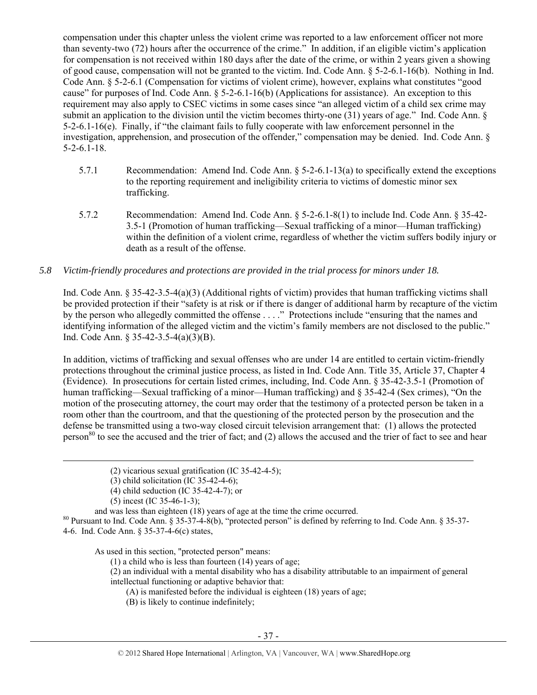compensation under this chapter unless the violent crime was reported to a law enforcement officer not more than seventy-two (72) hours after the occurrence of the crime." In addition, if an eligible victim's application for compensation is not received within 180 days after the date of the crime, or within 2 years given a showing of good cause, compensation will not be granted to the victim. Ind. Code Ann. § 5-2-6.1-16(b). Nothing in Ind. Code Ann. § 5-2-6.1 (Compensation for victims of violent crime), however, explains what constitutes "good cause" for purposes of Ind. Code Ann. § 5-2-6.1-16(b) (Applications for assistance). An exception to this requirement may also apply to CSEC victims in some cases since "an alleged victim of a child sex crime may submit an application to the division until the victim becomes thirty-one (31) years of age." Ind. Code Ann. § 5-2-6.1-16(e). Finally, if "the claimant fails to fully cooperate with law enforcement personnel in the investigation, apprehension, and prosecution of the offender," compensation may be denied. Ind. Code Ann. § 5-2-6.1-18.

- 5.7.1 Recommendation: Amend Ind. Code Ann. § 5-2-6.1-13(a) to specifically extend the exceptions to the reporting requirement and ineligibility criteria to victims of domestic minor sex trafficking.
- 5.7.2 Recommendation: Amend Ind. Code Ann. § 5-2-6.1-8(1) to include Ind. Code Ann. § 35-42- 3.5-1 (Promotion of human trafficking—Sexual trafficking of a minor—Human trafficking) within the definition of a violent crime, regardless of whether the victim suffers bodily injury or death as a result of the offense.

#### *5.8 Victim-friendly procedures and protections are provided in the trial process for minors under 18.*

Ind. Code Ann. § 35-42-3.5-4(a)(3) (Additional rights of victim) provides that human trafficking victims shall be provided protection if their "safety is at risk or if there is danger of additional harm by recapture of the victim by the person who allegedly committed the offense . . . ." Protections include "ensuring that the names and identifying information of the alleged victim and the victim's family members are not disclosed to the public." Ind. Code Ann. § 35-42-3.5-4(a)(3)(B).

In addition, victims of trafficking and sexual offenses who are under 14 are entitled to certain victim-friendly protections throughout the criminal justice process, as listed in Ind. Code Ann. Title 35, Article 37, Chapter 4 (Evidence). In prosecutions for certain listed crimes, including, Ind. Code Ann. § 35-42-3.5-1 (Promotion of human trafficking—Sexual trafficking of a minor—Human trafficking) and § 35-42-4 (Sex crimes), "On the motion of the prosecuting attorney, the court may order that the testimony of a protected person be taken in a room other than the courtroom, and that the questioning of the protected person by the prosecution and the defense be transmitted using a two-way closed circuit television arrangement that: (1) allows the protected person<sup>80</sup> to see the accused and the trier of fact; and  $(2)$  allows the accused and the trier of fact to see and hear

(5) incest (IC 35-46-1-3);<br>and was less than eighteen (18) years of age at the time the crime occurred.

<sup>80</sup> Pursuant to Ind. Code Ann. § 35-37-4-8(b), "protected person" is defined by referring to Ind. Code Ann. § 35-37-4-6. Ind. Code Ann. § 35-37-4-6(c) states,

<u> 1989 - Johann Stein, marwolaethau a gweledydd a ganlad y ganlad y ganlad y ganlad y ganlad y ganlad y ganlad</u>

As used in this section, "protected person" means:

(1) a child who is less than fourteen (14) years of age;

(2) an individual with a mental disability who has a disability attributable to an impairment of general intellectual functioning or adaptive behavior that:

(A) is manifested before the individual is eighteen (18) years of age;

(B) is likely to continue indefinitely;

<sup>(2)</sup> vicarious sexual gratification (IC 35-42-4-5);

<sup>(3)</sup> child solicitation (IC 35-42-4-6);

<sup>(4)</sup> child seduction (IC 35-42-4-7); or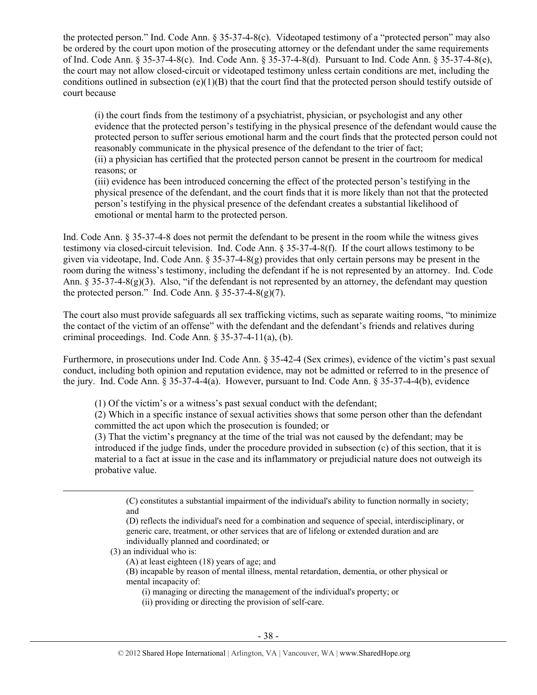the protected person." Ind. Code Ann. § 35-37-4-8(c). Videotaped testimony of a "protected person" may also be ordered by the court upon motion of the prosecuting attorney or the defendant under the same requirements of Ind. Code Ann. § 35-37-4-8(c). Ind. Code Ann. § 35-37-4-8(d). Pursuant to Ind. Code Ann. § 35-37-4-8(e), the court may not allow closed-circuit or videotaped testimony unless certain conditions are met, including the conditions outlined in subsection  $(e)(1)(B)$  that the court find that the protected person should testify outside of court because

(i) the court finds from the testimony of a psychiatrist, physician, or psychologist and any other evidence that the protected person's testifying in the physical presence of the defendant would cause the protected person to suffer serious emotional harm and the court finds that the protected person could not reasonably communicate in the physical presence of the defendant to the trier of fact;

(ii) a physician has certified that the protected person cannot be present in the courtroom for medical reasons; or

(iii) evidence has been introduced concerning the effect of the protected person's testifying in the physical presence of the defendant, and the court finds that it is more likely than not that the protected person's testifying in the physical presence of the defendant creates a substantial likelihood of emotional or mental harm to the protected person.

Ind. Code Ann. § 35-37-4-8 does not permit the defendant to be present in the room while the witness gives testimony via closed-circuit television. Ind. Code Ann. § 35-37-4-8(f). If the court allows testimony to be given via videotape, Ind. Code Ann. § 35-37-4-8(g) provides that only certain persons may be present in the room during the witness's testimony, including the defendant if he is not represented by an attorney. Ind. Code Ann. § 35-37-4-8(g)(3). Also, "if the defendant is not represented by an attorney, the defendant may question the protected person." Ind. Code Ann.  $\S 35-37-4-8(g)(7)$ .

The court also must provide safeguards all sex trafficking victims, such as separate waiting rooms, "to minimize the contact of the victim of an offense" with the defendant and the defendant's friends and relatives during criminal proceedings. Ind. Code Ann. § 35-37-4-11(a), (b).

Furthermore, in prosecutions under Ind. Code Ann. § 35-42-4 (Sex crimes), evidence of the victim's past sexual conduct, including both opinion and reputation evidence, may not be admitted or referred to in the presence of the jury. Ind. Code Ann. § 35-37-4-4(a). However, pursuant to Ind. Code Ann. § 35-37-4-4(b), evidence

(1) Of the victim's or a witness's past sexual conduct with the defendant;

(2) Which in a specific instance of sexual activities shows that some person other than the defendant committed the act upon which the prosecution is founded; or

(3) That the victim's pregnancy at the time of the trial was not caused by the defendant; may be introduced if the judge finds, under the procedure provided in subsection (c) of this section, that it is material to a fact at issue in the case and its inflammatory or prejudicial nature does not outweigh its probative value.

(C) constitutes a substantial impairment of the individual's ability to function normally in society; and

(D) reflects the individual's need for a combination and sequence of special, interdisciplinary, or generic care, treatment, or other services that are of lifelong or extended duration and are individually planned and coordinated; or

(3) an individual who is:

(A) at least eighteen (18) years of age; and

(B) incapable by reason of mental illness, mental retardation, dementia, or other physical or mental incapacity of:

(i) managing or directing the management of the individual's property; or

<u> Andrewski politika (za obrazu pod predsjednika u predsjednika u predsjednika u predsjednika (za obrazu pod p</u>

(ii) providing or directing the provision of self-care.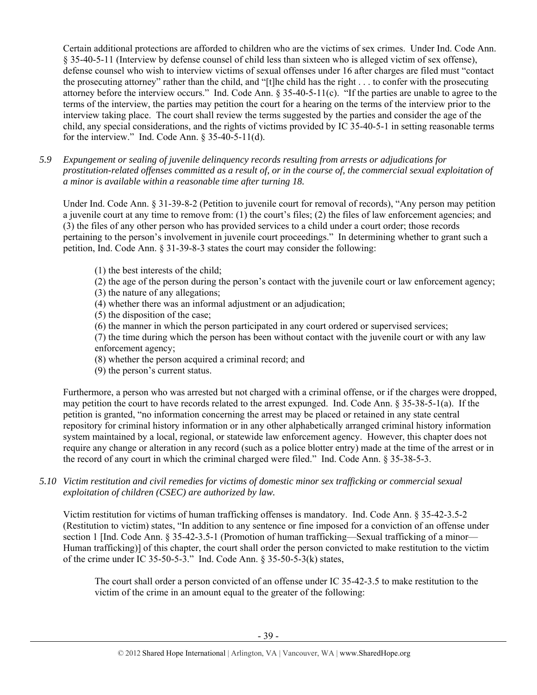Certain additional protections are afforded to children who are the victims of sex crimes. Under Ind. Code Ann. § 35-40-5-11 (Interview by defense counsel of child less than sixteen who is alleged victim of sex offense), defense counsel who wish to interview victims of sexual offenses under 16 after charges are filed must "contact the prosecuting attorney" rather than the child, and "[t]he child has the right . . . to confer with the prosecuting attorney before the interview occurs." Ind. Code Ann. § 35-40-5-11(c). "If the parties are unable to agree to the terms of the interview, the parties may petition the court for a hearing on the terms of the interview prior to the interview taking place. The court shall review the terms suggested by the parties and consider the age of the child, any special considerations, and the rights of victims provided by IC 35-40-5-1 in setting reasonable terms for the interview." Ind. Code Ann.  $§$  35-40-5-11(d).

*5.9 Expungement or sealing of juvenile delinquency records resulting from arrests or adjudications for prostitution-related offenses committed as a result of, or in the course of, the commercial sexual exploitation of a minor is available within a reasonable time after turning 18.* 

Under Ind. Code Ann. § 31-39-8-2 (Petition to juvenile court for removal of records), "Any person may petition a juvenile court at any time to remove from: (1) the court's files; (2) the files of law enforcement agencies; and (3) the files of any other person who has provided services to a child under a court order; those records pertaining to the person's involvement in juvenile court proceedings." In determining whether to grant such a petition, Ind. Code Ann. § 31-39-8-3 states the court may consider the following:

- (1) the best interests of the child;
- (2) the age of the person during the person's contact with the juvenile court or law enforcement agency;
- (3) the nature of any allegations;
- (4) whether there was an informal adjustment or an adjudication;
- (5) the disposition of the case;
- (6) the manner in which the person participated in any court ordered or supervised services;

(7) the time during which the person has been without contact with the juvenile court or with any law enforcement agency;

- (8) whether the person acquired a criminal record; and
- (9) the person's current status.

Furthermore, a person who was arrested but not charged with a criminal offense, or if the charges were dropped, may petition the court to have records related to the arrest expunged. Ind. Code Ann. § 35-38-5-1(a). If the petition is granted, "no information concerning the arrest may be placed or retained in any state central repository for criminal history information or in any other alphabetically arranged criminal history information system maintained by a local, regional, or statewide law enforcement agency. However, this chapter does not require any change or alteration in any record (such as a police blotter entry) made at the time of the arrest or in the record of any court in which the criminal charged were filed." Ind. Code Ann. § 35-38-5-3.

*5.10 Victim restitution and civil remedies for victims of domestic minor sex trafficking or commercial sexual exploitation of children (CSEC) are authorized by law.* 

Victim restitution for victims of human trafficking offenses is mandatory. Ind. Code Ann. § 35-42-3.5-2 (Restitution to victim) states, "In addition to any sentence or fine imposed for a conviction of an offense under section 1 [Ind. Code Ann. § 35-42-3.5-1 (Promotion of human trafficking—Sexual trafficking of a minor— Human trafficking)] of this chapter, the court shall order the person convicted to make restitution to the victim of the crime under IC 35-50-5-3." Ind. Code Ann. § 35-50-5-3(k) states,

The court shall order a person convicted of an offense under IC 35-42-3.5 to make restitution to the victim of the crime in an amount equal to the greater of the following: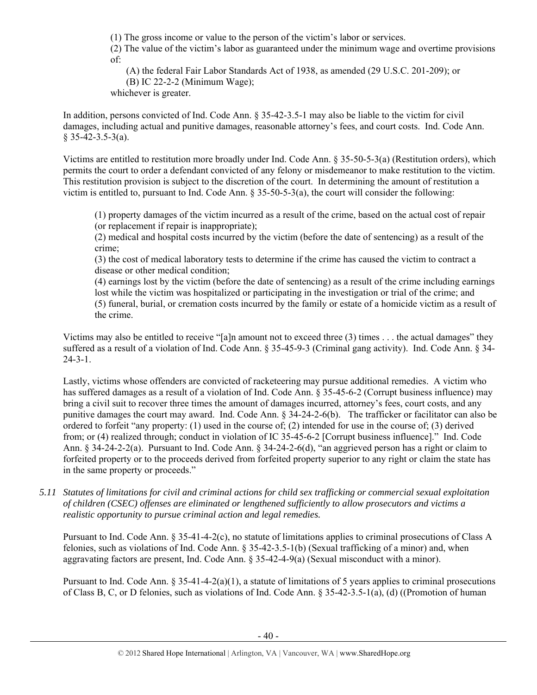(1) The gross income or value to the person of the victim's labor or services.

(2) The value of the victim's labor as guaranteed under the minimum wage and overtime provisions of:

(A) the federal Fair Labor Standards Act of 1938, as amended (29 U.S.C. 201-209); or

(B) IC 22-2-2 (Minimum Wage);

whichever is greater.

In addition, persons convicted of Ind. Code Ann. § 35-42-3.5-1 may also be liable to the victim for civil damages, including actual and punitive damages, reasonable attorney's fees, and court costs. Ind. Code Ann.  $$35-42-3.5-3(a).$ 

Victims are entitled to restitution more broadly under Ind. Code Ann. § 35-50-5-3(a) (Restitution orders), which permits the court to order a defendant convicted of any felony or misdemeanor to make restitution to the victim. This restitution provision is subject to the discretion of the court. In determining the amount of restitution a victim is entitled to, pursuant to Ind. Code Ann. § 35-50-5-3(a), the court will consider the following:

(1) property damages of the victim incurred as a result of the crime, based on the actual cost of repair (or replacement if repair is inappropriate);

(2) medical and hospital costs incurred by the victim (before the date of sentencing) as a result of the crime;

(3) the cost of medical laboratory tests to determine if the crime has caused the victim to contract a disease or other medical condition;

(4) earnings lost by the victim (before the date of sentencing) as a result of the crime including earnings lost while the victim was hospitalized or participating in the investigation or trial of the crime; and (5) funeral, burial, or cremation costs incurred by the family or estate of a homicide victim as a result of the crime.

Victims may also be entitled to receive "[a]n amount not to exceed three (3) times . . . the actual damages" they suffered as a result of a violation of Ind. Code Ann. § 35-45-9-3 (Criminal gang activity). Ind. Code Ann. § 34- 24-3-1.

Lastly, victims whose offenders are convicted of racketeering may pursue additional remedies. A victim who has suffered damages as a result of a violation of Ind. Code Ann. § 35-45-6-2 (Corrupt business influence) may bring a civil suit to recover three times the amount of damages incurred, attorney's fees, court costs, and any punitive damages the court may award. Ind. Code Ann. § 34-24-2-6(b). The trafficker or facilitator can also be ordered to forfeit "any property: (1) used in the course of; (2) intended for use in the course of; (3) derived from; or (4) realized through; conduct in violation of IC 35-45-6-2 [Corrupt business influence]." Ind. Code Ann. § 34-24-2-2(a). Pursuant to Ind. Code Ann. § 34-24-2-6(d), "an aggrieved person has a right or claim to forfeited property or to the proceeds derived from forfeited property superior to any right or claim the state has in the same property or proceeds."

*5.11 Statutes of limitations for civil and criminal actions for child sex trafficking or commercial sexual exploitation of children (CSEC) offenses are eliminated or lengthened sufficiently to allow prosecutors and victims a realistic opportunity to pursue criminal action and legal remedies.* 

Pursuant to Ind. Code Ann. § 35-41-4-2(c), no statute of limitations applies to criminal prosecutions of Class A felonies, such as violations of Ind. Code Ann. § 35-42-3.5-1(b) (Sexual trafficking of a minor) and, when aggravating factors are present, Ind. Code Ann. § 35-42-4-9(a) (Sexual misconduct with a minor).

Pursuant to Ind. Code Ann.  $\S 35-41-4-2(a)(1)$ , a statute of limitations of 5 years applies to criminal prosecutions of Class B, C, or D felonies, such as violations of Ind. Code Ann. § 35-42-3.5-1(a), (d) ((Promotion of human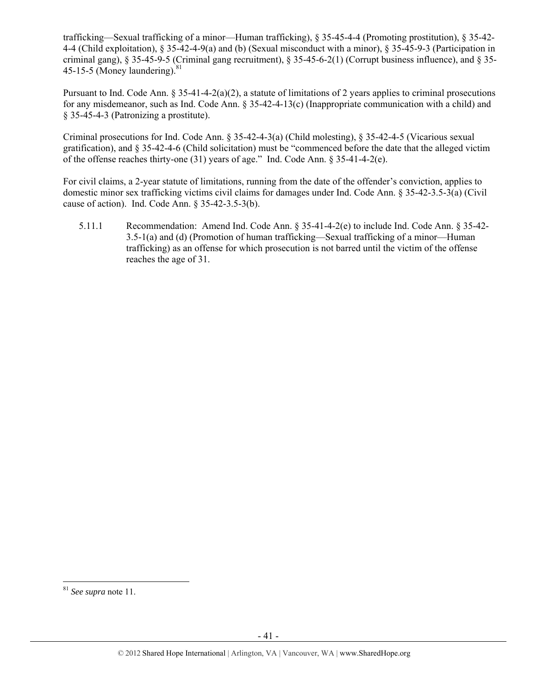trafficking—Sexual trafficking of a minor—Human trafficking), § 35-45-4-4 (Promoting prostitution), § 35-42- 4-4 (Child exploitation), § 35-42-4-9(a) and (b) (Sexual misconduct with a minor), § 35-45-9-3 (Participation in criminal gang), § 35-45-9-5 (Criminal gang recruitment), § 35-45-6-2(1) (Corrupt business influence), and § 35- 45-15-5 (Money laundering). $81$ 

Pursuant to Ind. Code Ann.  $\S 35-41-4-2(a)(2)$ , a statute of limitations of 2 years applies to criminal prosecutions for any misdemeanor, such as Ind. Code Ann.  $\S 35-42-4-13(c)$  (Inappropriate communication with a child) and § 35-45-4-3 (Patronizing a prostitute).

Criminal prosecutions for Ind. Code Ann. § 35-42-4-3(a) (Child molesting), § 35-42-4-5 (Vicarious sexual gratification), and § 35-42-4-6 (Child solicitation) must be "commenced before the date that the alleged victim of the offense reaches thirty-one (31) years of age." Ind. Code Ann. § 35-41-4-2(e).

For civil claims, a 2-year statute of limitations, running from the date of the offender's conviction, applies to domestic minor sex trafficking victims civil claims for damages under Ind. Code Ann. § 35-42-3.5-3(a) (Civil cause of action). Ind. Code Ann. § 35-42-3.5-3(b).

5.11.1 Recommendation: Amend Ind. Code Ann. § 35-41-4-2(e) to include Ind. Code Ann. § 35-42- 3.5-1(a) and (d) (Promotion of human trafficking—Sexual trafficking of a minor—Human trafficking) as an offense for which prosecution is not barred until the victim of the offense reaches the age of 31.

<sup>81</sup> *See supra* note 11.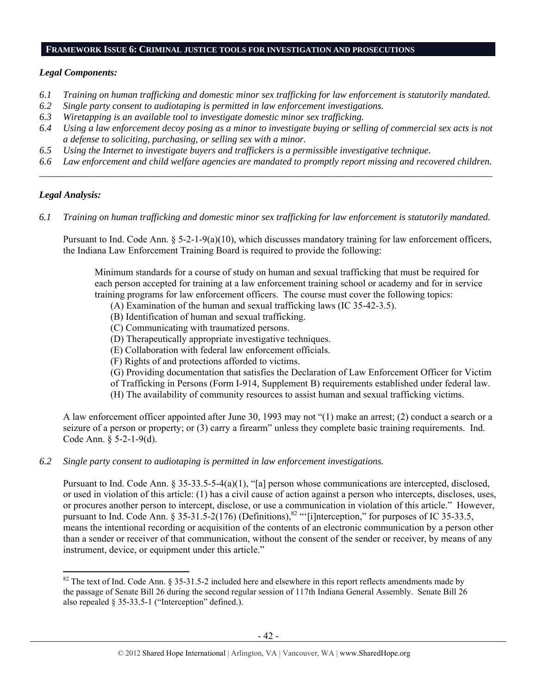#### **FRAMEWORK ISSUE 6: CRIMINAL JUSTICE TOOLS FOR INVESTIGATION AND PROSECUTIONS**

#### *Legal Components:*

- *6.1 Training on human trafficking and domestic minor sex trafficking for law enforcement is statutorily mandated.*
- *6.2 Single party consent to audiotaping is permitted in law enforcement investigations.*
- *6.3 Wiretapping is an available tool to investigate domestic minor sex trafficking.*
- *6.4 Using a law enforcement decoy posing as a minor to investigate buying or selling of commercial sex acts is not a defense to soliciting, purchasing, or selling sex with a minor.*
- *6.5 Using the Internet to investigate buyers and traffickers is a permissible investigative technique.*
- *6.6 Law enforcement and child welfare agencies are mandated to promptly report missing and recovered children. \_\_\_\_\_\_\_\_\_\_\_\_\_\_\_\_\_\_\_\_\_\_\_\_\_\_\_\_\_\_\_\_\_\_\_\_\_\_\_\_\_\_\_\_\_\_\_\_\_\_\_\_\_\_\_\_\_\_\_\_\_\_\_\_\_\_\_\_\_\_\_\_\_\_\_\_\_\_\_\_\_\_\_\_\_\_\_\_\_\_\_\_\_\_*

## *Legal Analysis:*

*6.1 Training on human trafficking and domestic minor sex trafficking for law enforcement is statutorily mandated.*

Pursuant to Ind. Code Ann.  $\S 5-2-1-9(a)(10)$ , which discusses mandatory training for law enforcement officers, the Indiana Law Enforcement Training Board is required to provide the following:

Minimum standards for a course of study on human and sexual trafficking that must be required for each person accepted for training at a law enforcement training school or academy and for in service training programs for law enforcement officers. The course must cover the following topics:

- (A) Examination of the human and sexual trafficking laws (IC 35-42-3.5).
- (B) Identification of human and sexual trafficking.
- (C) Communicating with traumatized persons.
- (D) Therapeutically appropriate investigative techniques.
- (E) Collaboration with federal law enforcement officials.
- (F) Rights of and protections afforded to victims.
- (G) Providing documentation that satisfies the Declaration of Law Enforcement Officer for Victim
- of Trafficking in Persons (Form I-914, Supplement B) requirements established under federal law. (H) The availability of community resources to assist human and sexual trafficking victims.
- 

A law enforcement officer appointed after June 30, 1993 may not "(1) make an arrest; (2) conduct a search or a seizure of a person or property; or (3) carry a firearm" unless they complete basic training requirements. Ind. Code Ann. § 5-2-1-9(d).

*6.2 Single party consent to audiotaping is permitted in law enforcement investigations.* 

Pursuant to Ind. Code Ann. § 35-33.5-5-4(a)(1), "[a] person whose communications are intercepted, disclosed, or used in violation of this article: (1) has a civil cause of action against a person who intercepts, discloses, uses, or procures another person to intercept, disclose, or use a communication in violation of this article." However, pursuant to Ind. Code Ann. § 35-31.5-2(176) (Definitions),<sup>82</sup> "'[i]nterception," for purposes of IC 35-33.5, means the intentional recording or acquisition of the contents of an electronic communication by a person other than a sender or receiver of that communication, without the consent of the sender or receiver, by means of any instrument, device, or equipment under this article."

  $82$  The text of Ind. Code Ann. § 35-31.5-2 included here and elsewhere in this report reflects amendments made by the passage of Senate Bill 26 during the second regular session of 117th Indiana General Assembly. Senate Bill 26 also repealed § 35-33.5-1 ("Interception" defined.).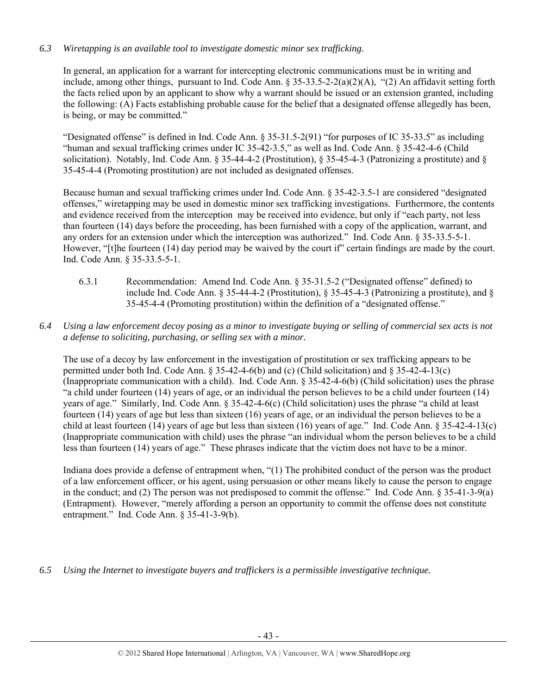# *6.3 Wiretapping is an available tool to investigate domestic minor sex trafficking.*

In general, an application for a warrant for intercepting electronic communications must be in writing and include, among other things, pursuant to Ind. Code Ann. § 35-33.5-2-2(a)(2)(A), "(2) An affidavit setting forth the facts relied upon by an applicant to show why a warrant should be issued or an extension granted, including the following: (A) Facts establishing probable cause for the belief that a designated offense allegedly has been, is being, or may be committed."

"Designated offense" is defined in Ind. Code Ann. § 35-31.5-2(91) "for purposes of IC 35-33.5" as including "human and sexual trafficking crimes under IC 35-42-3.5," as well as Ind. Code Ann. § 35-42-4-6 (Child solicitation). Notably, Ind. Code Ann. § 35-44-4-2 (Prostitution), § 35-45-4-3 (Patronizing a prostitute) and § 35-45-4-4 (Promoting prostitution) are not included as designated offenses.

Because human and sexual trafficking crimes under Ind. Code Ann. § 35-42-3.5-1 are considered "designated offenses," wiretapping may be used in domestic minor sex trafficking investigations. Furthermore, the contents and evidence received from the interception may be received into evidence, but only if "each party, not less than fourteen (14) days before the proceeding, has been furnished with a copy of the application, warrant, and any orders for an extension under which the interception was authorized." Ind. Code Ann. § 35-33.5-5-1. However, "[t]he fourteen (14) day period may be waived by the court if" certain findings are made by the court. Ind. Code Ann. § 35-33.5-5-1.

- 6.3.1 Recommendation: Amend Ind. Code Ann. § 35-31.5-2 ("Designated offense" defined) to include Ind. Code Ann. § 35-44-4-2 (Prostitution), § 35-45-4-3 (Patronizing a prostitute), and § 35-45-4-4 (Promoting prostitution) within the definition of a "designated offense."
- *6.4 Using a law enforcement decoy posing as a minor to investigate buying or selling of commercial sex acts is not a defense to soliciting, purchasing, or selling sex with a minor.*

The use of a decoy by law enforcement in the investigation of prostitution or sex trafficking appears to be permitted under both Ind. Code Ann. § 35-42-4-6(b) and (c) (Child solicitation) and § 35-42-4-13(c) (Inappropriate communication with a child). Ind. Code Ann. § 35-42-4-6(b) (Child solicitation) uses the phrase "a child under fourteen (14) years of age, or an individual the person believes to be a child under fourteen (14) years of age." Similarly, Ind. Code Ann. § 35-42-4-6(c) (Child solicitation) uses the phrase "a child at least fourteen (14) years of age but less than sixteen (16) years of age, or an individual the person believes to be a child at least fourteen (14) years of age but less than sixteen (16) years of age." Ind. Code Ann. § 35-42-4-13(c) (Inappropriate communication with child) uses the phrase "an individual whom the person believes to be a child less than fourteen (14) years of age." These phrases indicate that the victim does not have to be a minor.

Indiana does provide a defense of entrapment when, "(1) The prohibited conduct of the person was the product of a law enforcement officer, or his agent, using persuasion or other means likely to cause the person to engage in the conduct; and (2) The person was not predisposed to commit the offense." Ind. Code Ann. § 35-41-3-9(a) (Entrapment). However, "merely affording a person an opportunity to commit the offense does not constitute entrapment." Ind. Code Ann. § 35-41-3-9(b).

*6.5 Using the Internet to investigate buyers and traffickers is a permissible investigative technique.*